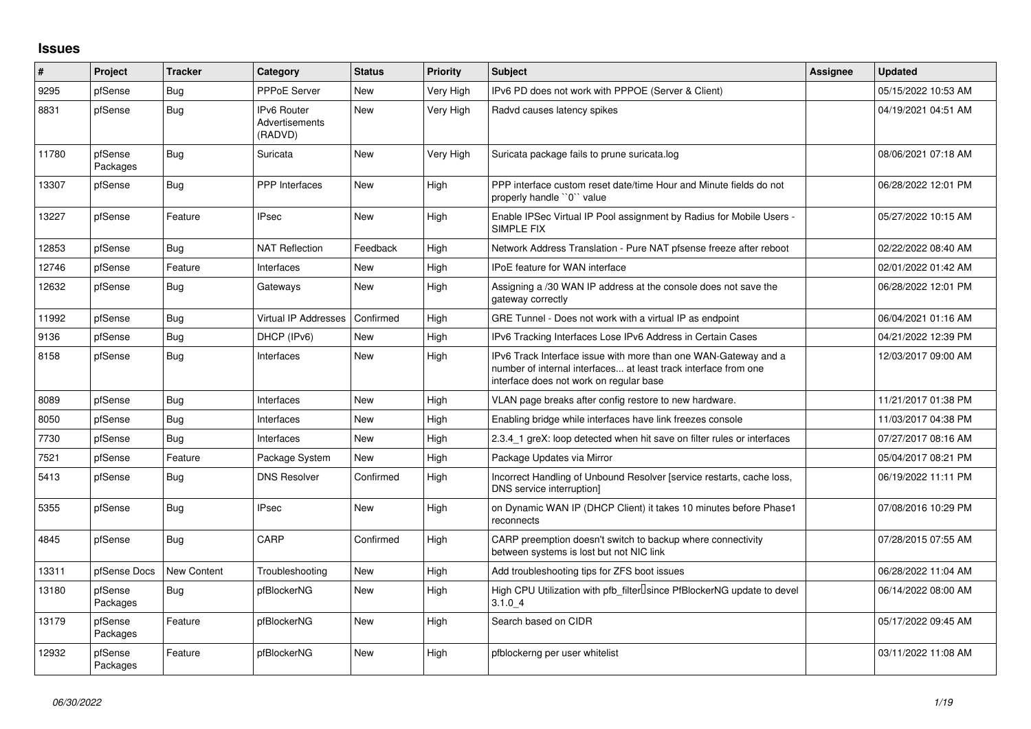## **Issues**

| $\vert$ # | Project             | <b>Tracker</b> | Category                                 | <b>Status</b> | <b>Priority</b> | <b>Subject</b>                                                                                                                                                                | <b>Assignee</b> | <b>Updated</b>      |
|-----------|---------------------|----------------|------------------------------------------|---------------|-----------------|-------------------------------------------------------------------------------------------------------------------------------------------------------------------------------|-----------------|---------------------|
| 9295      | pfSense             | Bug            | <b>PPPoE Server</b>                      | <b>New</b>    | Very High       | IPv6 PD does not work with PPPOE (Server & Client)                                                                                                                            |                 | 05/15/2022 10:53 AM |
| 8831      | pfSense             | Bug            | IPv6 Router<br>Advertisements<br>(RADVD) | <b>New</b>    | Very High       | Radvd causes latency spikes                                                                                                                                                   |                 | 04/19/2021 04:51 AM |
| 11780     | pfSense<br>Packages | Bug            | Suricata                                 | New           | Very High       | Suricata package fails to prune suricata.log                                                                                                                                  |                 | 08/06/2021 07:18 AM |
| 13307     | pfSense             | Bug            | <b>PPP</b> Interfaces                    | <b>New</b>    | High            | PPP interface custom reset date/time Hour and Minute fields do not<br>properly handle "0" value                                                                               |                 | 06/28/2022 12:01 PM |
| 13227     | pfSense             | Feature        | <b>IPsec</b>                             | <b>New</b>    | High            | Enable IPSec Virtual IP Pool assignment by Radius for Mobile Users -<br>SIMPLE FIX                                                                                            |                 | 05/27/2022 10:15 AM |
| 12853     | pfSense             | Bug            | <b>NAT Reflection</b>                    | Feedback      | High            | Network Address Translation - Pure NAT pfsense freeze after reboot                                                                                                            |                 | 02/22/2022 08:40 AM |
| 12746     | pfSense             | Feature        | Interfaces                               | <b>New</b>    | High            | <b>IPoE</b> feature for WAN interface                                                                                                                                         |                 | 02/01/2022 01:42 AM |
| 12632     | pfSense             | Bug            | Gateways                                 | New           | High            | Assigning a /30 WAN IP address at the console does not save the<br>gateway correctly                                                                                          |                 | 06/28/2022 12:01 PM |
| 11992     | pfSense             | Bug            | Virtual IP Addresses                     | Confirmed     | High            | GRE Tunnel - Does not work with a virtual IP as endpoint                                                                                                                      |                 | 06/04/2021 01:16 AM |
| 9136      | pfSense             | <b>Bug</b>     | DHCP (IPv6)                              | <b>New</b>    | High            | IPv6 Tracking Interfaces Lose IPv6 Address in Certain Cases                                                                                                                   |                 | 04/21/2022 12:39 PM |
| 8158      | pfSense             | Bug            | Interfaces                               | <b>New</b>    | High            | IPv6 Track Interface issue with more than one WAN-Gateway and a<br>number of internal interfaces at least track interface from one<br>interface does not work on regular base |                 | 12/03/2017 09:00 AM |
| 8089      | pfSense             | Bug            | Interfaces                               | <b>New</b>    | High            | VLAN page breaks after config restore to new hardware.                                                                                                                        |                 | 11/21/2017 01:38 PM |
| 8050      | pfSense             | Bug            | Interfaces                               | <b>New</b>    | High            | Enabling bridge while interfaces have link freezes console                                                                                                                    |                 | 11/03/2017 04:38 PM |
| 7730      | pfSense             | Bug            | Interfaces                               | <b>New</b>    | High            | 2.3.4 1 greX: loop detected when hit save on filter rules or interfaces                                                                                                       |                 | 07/27/2017 08:16 AM |
| 7521      | pfSense             | Feature        | Package System                           | <b>New</b>    | High            | Package Updates via Mirror                                                                                                                                                    |                 | 05/04/2017 08:21 PM |
| 5413      | pfSense             | Bug            | <b>DNS Resolver</b>                      | Confirmed     | High            | Incorrect Handling of Unbound Resolver [service restarts, cache loss,<br>DNS service interruption]                                                                            |                 | 06/19/2022 11:11 PM |
| 5355      | pfSense             | Bug            | IPsec                                    | <b>New</b>    | High            | on Dynamic WAN IP (DHCP Client) it takes 10 minutes before Phase1<br>reconnects                                                                                               |                 | 07/08/2016 10:29 PM |
| 4845      | pfSense             | Bug            | CARP                                     | Confirmed     | High            | CARP preemption doesn't switch to backup where connectivity<br>between systems is lost but not NIC link                                                                       |                 | 07/28/2015 07:55 AM |
| 13311     | pfSense Docs        | New Content    | Troubleshooting                          | <b>New</b>    | High            | Add troubleshooting tips for ZFS boot issues                                                                                                                                  |                 | 06/28/2022 11:04 AM |
| 13180     | pfSense<br>Packages | Bug            | pfBlockerNG                              | <b>New</b>    | High            | High CPU Utilization with pfb filter Isince PfBlockerNG update to devel<br>3.1.04                                                                                             |                 | 06/14/2022 08:00 AM |
| 13179     | pfSense<br>Packages | Feature        | pfBlockerNG                              | <b>New</b>    | High            | Search based on CIDR                                                                                                                                                          |                 | 05/17/2022 09:45 AM |
| 12932     | pfSense<br>Packages | Feature        | pfBlockerNG                              | <b>New</b>    | High            | pfblockerng per user whitelist                                                                                                                                                |                 | 03/11/2022 11:08 AM |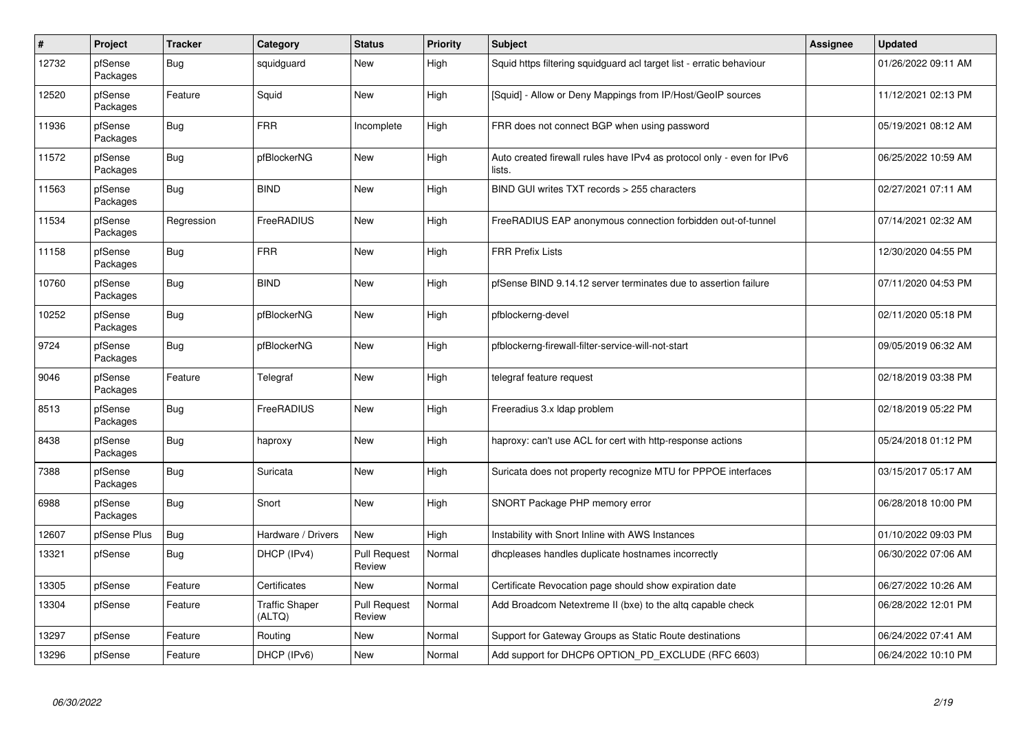| $\#$  | Project             | <b>Tracker</b> | Category                        | <b>Status</b>                 | <b>Priority</b> | <b>Subject</b>                                                                   | Assignee | <b>Updated</b>      |
|-------|---------------------|----------------|---------------------------------|-------------------------------|-----------------|----------------------------------------------------------------------------------|----------|---------------------|
| 12732 | pfSense<br>Packages | Bug            | squidguard                      | <b>New</b>                    | High            | Squid https filtering squidguard acl target list - erratic behaviour             |          | 01/26/2022 09:11 AM |
| 12520 | pfSense<br>Packages | Feature        | Squid                           | New                           | High            | [Squid] - Allow or Deny Mappings from IP/Host/GeoIP sources                      |          | 11/12/2021 02:13 PM |
| 11936 | pfSense<br>Packages | <b>Bug</b>     | <b>FRR</b>                      | Incomplete                    | High            | FRR does not connect BGP when using password                                     |          | 05/19/2021 08:12 AM |
| 11572 | pfSense<br>Packages | Bug            | pfBlockerNG                     | New                           | High            | Auto created firewall rules have IPv4 as protocol only - even for IPv6<br>lists. |          | 06/25/2022 10:59 AM |
| 11563 | pfSense<br>Packages | <b>Bug</b>     | <b>BIND</b>                     | New                           | High            | BIND GUI writes TXT records > 255 characters                                     |          | 02/27/2021 07:11 AM |
| 11534 | pfSense<br>Packages | Regression     | FreeRADIUS                      | <b>New</b>                    | High            | FreeRADIUS EAP anonymous connection forbidden out-of-tunnel                      |          | 07/14/2021 02:32 AM |
| 11158 | pfSense<br>Packages | <b>Bug</b>     | <b>FRR</b>                      | <b>New</b>                    | High            | <b>FRR Prefix Lists</b>                                                          |          | 12/30/2020 04:55 PM |
| 10760 | pfSense<br>Packages | Bug            | <b>BIND</b>                     | <b>New</b>                    | High            | pfSense BIND 9.14.12 server terminates due to assertion failure                  |          | 07/11/2020 04:53 PM |
| 10252 | pfSense<br>Packages | Bug            | pfBlockerNG                     | <b>New</b>                    | High            | pfblockerng-devel                                                                |          | 02/11/2020 05:18 PM |
| 9724  | pfSense<br>Packages | <b>Bug</b>     | pfBlockerNG                     | New                           | High            | pfblockerng-firewall-filter-service-will-not-start                               |          | 09/05/2019 06:32 AM |
| 9046  | pfSense<br>Packages | Feature        | Telegraf                        | New                           | High            | telegraf feature request                                                         |          | 02/18/2019 03:38 PM |
| 8513  | pfSense<br>Packages | <b>Bug</b>     | FreeRADIUS                      | <b>New</b>                    | High            | Freeradius 3.x Idap problem                                                      |          | 02/18/2019 05:22 PM |
| 8438  | pfSense<br>Packages | <b>Bug</b>     | haproxy                         | New                           | High            | haproxy: can't use ACL for cert with http-response actions                       |          | 05/24/2018 01:12 PM |
| 7388  | pfSense<br>Packages | <b>Bug</b>     | Suricata                        | <b>New</b>                    | High            | Suricata does not property recognize MTU for PPPOE interfaces                    |          | 03/15/2017 05:17 AM |
| 6988  | pfSense<br>Packages | Bug            | Snort                           | <b>New</b>                    | High            | SNORT Package PHP memory error                                                   |          | 06/28/2018 10:00 PM |
| 12607 | pfSense Plus        | Bug            | Hardware / Drivers              | <b>New</b>                    | High            | Instability with Snort Inline with AWS Instances                                 |          | 01/10/2022 09:03 PM |
| 13321 | pfSense             | <b>Bug</b>     | DHCP (IPv4)                     | <b>Pull Request</b><br>Review | Normal          | dhcpleases handles duplicate hostnames incorrectly                               |          | 06/30/2022 07:06 AM |
| 13305 | pfSense             | Feature        | Certificates                    | <b>New</b>                    | Normal          | Certificate Revocation page should show expiration date                          |          | 06/27/2022 10:26 AM |
| 13304 | pfSense             | Feature        | <b>Traffic Shaper</b><br>(ALTQ) | <b>Pull Request</b><br>Review | Normal          | Add Broadcom Netextreme II (bxe) to the altq capable check                       |          | 06/28/2022 12:01 PM |
| 13297 | pfSense             | Feature        | Routing                         | <b>New</b>                    | Normal          | Support for Gateway Groups as Static Route destinations                          |          | 06/24/2022 07:41 AM |
| 13296 | pfSense             | Feature        | DHCP (IPv6)                     | <b>New</b>                    | Normal          | Add support for DHCP6 OPTION_PD_EXCLUDE (RFC 6603)                               |          | 06/24/2022 10:10 PM |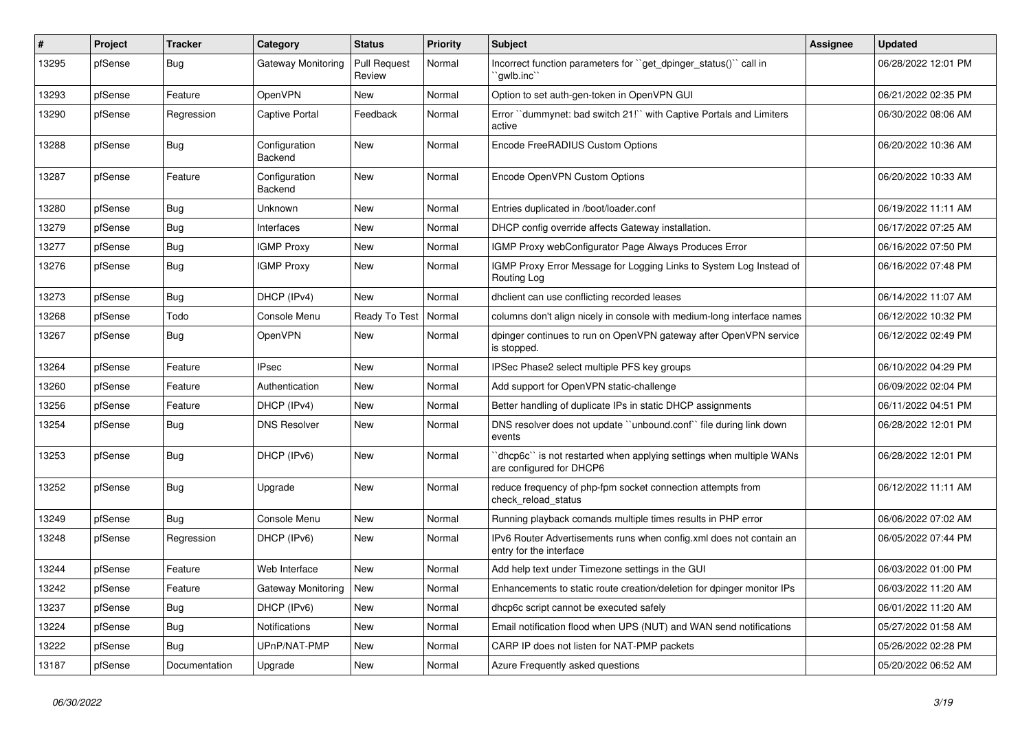| #     | Project | <b>Tracker</b> | Category                 | <b>Status</b>                 | <b>Priority</b> | <b>Subject</b>                                                                                  | <b>Assignee</b> | <b>Updated</b>      |
|-------|---------|----------------|--------------------------|-------------------------------|-----------------|-------------------------------------------------------------------------------------------------|-----------------|---------------------|
| 13295 | pfSense | Bug            | Gateway Monitoring       | <b>Pull Request</b><br>Review | Normal          | Incorrect function parameters for "get dpinger status()" call in<br>`qwlb.inc`                  |                 | 06/28/2022 12:01 PM |
| 13293 | pfSense | Feature        | <b>OpenVPN</b>           | <b>New</b>                    | Normal          | Option to set auth-gen-token in OpenVPN GUI                                                     |                 | 06/21/2022 02:35 PM |
| 13290 | pfSense | Regression     | Captive Portal           | Feedback                      | Normal          | Error "dummynet: bad switch 21!" with Captive Portals and Limiters<br>active                    |                 | 06/30/2022 08:06 AM |
| 13288 | pfSense | Bug            | Configuration<br>Backend | <b>New</b>                    | Normal          | Encode FreeRADIUS Custom Options                                                                |                 | 06/20/2022 10:36 AM |
| 13287 | pfSense | Feature        | Configuration<br>Backend | <b>New</b>                    | Normal          | Encode OpenVPN Custom Options                                                                   |                 | 06/20/2022 10:33 AM |
| 13280 | pfSense | Bug            | Unknown                  | <b>New</b>                    | Normal          | Entries duplicated in /boot/loader.conf                                                         |                 | 06/19/2022 11:11 AM |
| 13279 | pfSense | Bug            | Interfaces               | <b>New</b>                    | Normal          | DHCP config override affects Gateway installation.                                              |                 | 06/17/2022 07:25 AM |
| 13277 | pfSense | <b>Bug</b>     | <b>IGMP Proxy</b>        | <b>New</b>                    | Normal          | IGMP Proxy webConfigurator Page Always Produces Error                                           |                 | 06/16/2022 07:50 PM |
| 13276 | pfSense | Bug            | <b>IGMP Proxy</b>        | <b>New</b>                    | Normal          | IGMP Proxy Error Message for Logging Links to System Log Instead of<br>Routing Log              |                 | 06/16/2022 07:48 PM |
| 13273 | pfSense | <b>Bug</b>     | DHCP (IPv4)              | <b>New</b>                    | Normal          | dhclient can use conflicting recorded leases                                                    |                 | 06/14/2022 11:07 AM |
| 13268 | pfSense | Todo           | Console Menu             | Ready To Test                 | Normal          | columns don't align nicely in console with medium-long interface names                          |                 | 06/12/2022 10:32 PM |
| 13267 | pfSense | <b>Bug</b>     | <b>OpenVPN</b>           | <b>New</b>                    | Normal          | dpinger continues to run on OpenVPN gateway after OpenVPN service<br>is stopped.                |                 | 06/12/2022 02:49 PM |
| 13264 | pfSense | Feature        | <b>IPsec</b>             | <b>New</b>                    | Normal          | IPSec Phase2 select multiple PFS key groups                                                     |                 | 06/10/2022 04:29 PM |
| 13260 | pfSense | Feature        | Authentication           | New                           | Normal          | Add support for OpenVPN static-challenge                                                        |                 | 06/09/2022 02:04 PM |
| 13256 | pfSense | Feature        | DHCP (IPv4)              | <b>New</b>                    | Normal          | Better handling of duplicate IPs in static DHCP assignments                                     |                 | 06/11/2022 04:51 PM |
| 13254 | pfSense | Bug            | <b>DNS Resolver</b>      | <b>New</b>                    | Normal          | DNS resolver does not update "unbound.conf" file during link down<br>events                     |                 | 06/28/2022 12:01 PM |
| 13253 | pfSense | Bug            | DHCP (IPv6)              | <b>New</b>                    | Normal          | 'dhcp6c' is not restarted when applying settings when multiple WANs<br>are configured for DHCP6 |                 | 06/28/2022 12:01 PM |
| 13252 | pfSense | Bug            | Upgrade                  | <b>New</b>                    | Normal          | reduce frequency of php-fpm socket connection attempts from<br>check reload status              |                 | 06/12/2022 11:11 AM |
| 13249 | pfSense | <b>Bug</b>     | Console Menu             | <b>New</b>                    | Normal          | Running playback comands multiple times results in PHP error                                    |                 | 06/06/2022 07:02 AM |
| 13248 | pfSense | Regression     | DHCP (IPv6)              | <b>New</b>                    | Normal          | IPv6 Router Advertisements runs when config.xml does not contain an<br>entry for the interface  |                 | 06/05/2022 07:44 PM |
| 13244 | pfSense | Feature        | Web Interface            | <b>New</b>                    | Normal          | Add help text under Timezone settings in the GUI                                                |                 | 06/03/2022 01:00 PM |
| 13242 | pfSense | Feature        | Gateway Monitoring       | <b>New</b>                    | Normal          | Enhancements to static route creation/deletion for dpinger monitor IPs                          |                 | 06/03/2022 11:20 AM |
| 13237 | pfSense | <b>Bug</b>     | DHCP (IPv6)              | New                           | Normal          | dhcp6c script cannot be executed safely                                                         |                 | 06/01/2022 11:20 AM |
| 13224 | pfSense | Bug            | <b>Notifications</b>     | <b>New</b>                    | Normal          | Email notification flood when UPS (NUT) and WAN send notifications                              |                 | 05/27/2022 01:58 AM |
| 13222 | pfSense | Bug            | UPnP/NAT-PMP             | <b>New</b>                    | Normal          | CARP IP does not listen for NAT-PMP packets                                                     |                 | 05/26/2022 02:28 PM |
| 13187 | pfSense | Documentation  | Upgrade                  | <b>New</b>                    | Normal          | Azure Frequently asked questions                                                                |                 | 05/20/2022 06:52 AM |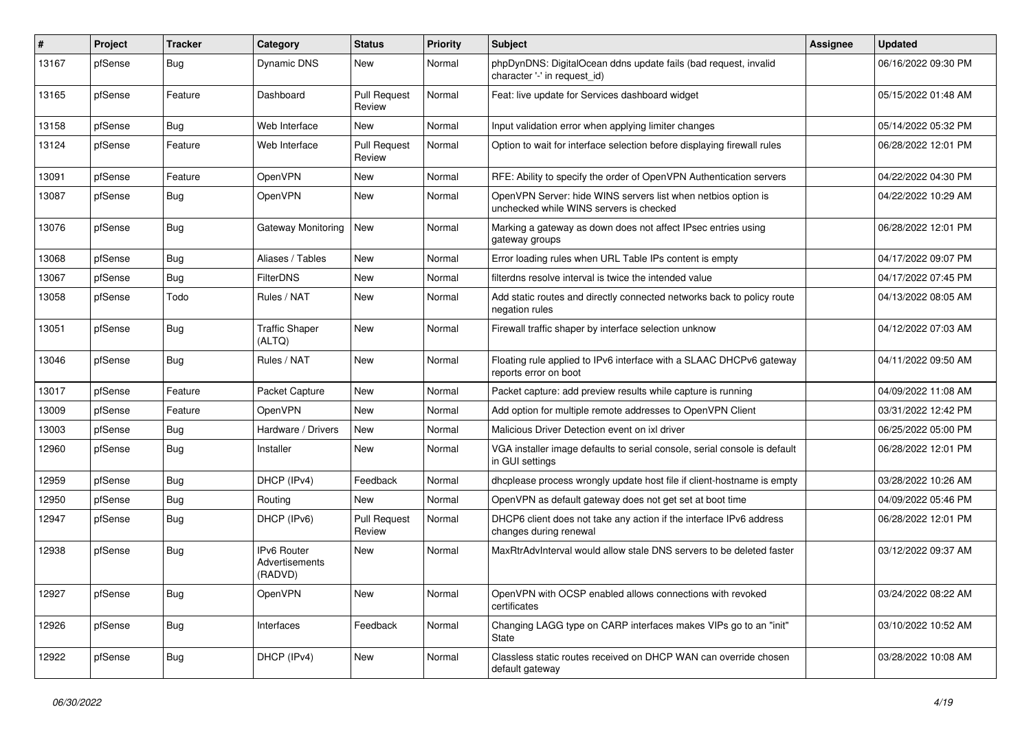| ∦     | Project | <b>Tracker</b> | Category                                 | <b>Status</b>                 | <b>Priority</b> | Subject                                                                                                  | Assignee | <b>Updated</b>      |
|-------|---------|----------------|------------------------------------------|-------------------------------|-----------------|----------------------------------------------------------------------------------------------------------|----------|---------------------|
| 13167 | pfSense | <b>Bug</b>     | Dynamic DNS                              | <b>New</b>                    | Normal          | phpDynDNS: DigitalOcean ddns update fails (bad request, invalid<br>character '-' in request id)          |          | 06/16/2022 09:30 PM |
| 13165 | pfSense | Feature        | Dashboard                                | <b>Pull Request</b><br>Review | Normal          | Feat: live update for Services dashboard widget                                                          |          | 05/15/2022 01:48 AM |
| 13158 | pfSense | <b>Bug</b>     | Web Interface                            | <b>New</b>                    | Normal          | Input validation error when applying limiter changes                                                     |          | 05/14/2022 05:32 PM |
| 13124 | pfSense | Feature        | Web Interface                            | <b>Pull Request</b><br>Review | Normal          | Option to wait for interface selection before displaying firewall rules                                  |          | 06/28/2022 12:01 PM |
| 13091 | pfSense | Feature        | OpenVPN                                  | New                           | Normal          | RFE: Ability to specify the order of OpenVPN Authentication servers                                      |          | 04/22/2022 04:30 PM |
| 13087 | pfSense | <b>Bug</b>     | OpenVPN                                  | New                           | Normal          | OpenVPN Server: hide WINS servers list when netbios option is<br>unchecked while WINS servers is checked |          | 04/22/2022 10:29 AM |
| 13076 | pfSense | <b>Bug</b>     | Gateway Monitoring                       | <b>New</b>                    | Normal          | Marking a gateway as down does not affect IPsec entries using<br>gateway groups                          |          | 06/28/2022 12:01 PM |
| 13068 | pfSense | Bug            | Aliases / Tables                         | <b>New</b>                    | Normal          | Error loading rules when URL Table IPs content is empty                                                  |          | 04/17/2022 09:07 PM |
| 13067 | pfSense | Bug            | FilterDNS                                | New                           | Normal          | filterdns resolve interval is twice the intended value                                                   |          | 04/17/2022 07:45 PM |
| 13058 | pfSense | Todo           | Rules / NAT                              | New                           | Normal          | Add static routes and directly connected networks back to policy route<br>negation rules                 |          | 04/13/2022 08:05 AM |
| 13051 | pfSense | <b>Bug</b>     | <b>Traffic Shaper</b><br>(ALTQ)          | <b>New</b>                    | Normal          | Firewall traffic shaper by interface selection unknow                                                    |          | 04/12/2022 07:03 AM |
| 13046 | pfSense | Bug            | Rules / NAT                              | <b>New</b>                    | Normal          | Floating rule applied to IPv6 interface with a SLAAC DHCPv6 gateway<br>reports error on boot             |          | 04/11/2022 09:50 AM |
| 13017 | pfSense | Feature        | Packet Capture                           | <b>New</b>                    | Normal          | Packet capture: add preview results while capture is running                                             |          | 04/09/2022 11:08 AM |
| 13009 | pfSense | Feature        | OpenVPN                                  | New                           | Normal          | Add option for multiple remote addresses to OpenVPN Client                                               |          | 03/31/2022 12:42 PM |
| 13003 | pfSense | Bug            | Hardware / Drivers                       | <b>New</b>                    | Normal          | Malicious Driver Detection event on ixl driver                                                           |          | 06/25/2022 05:00 PM |
| 12960 | pfSense | <b>Bug</b>     | Installer                                | <b>New</b>                    | Normal          | VGA installer image defaults to serial console, serial console is default<br>in GUI settings             |          | 06/28/2022 12:01 PM |
| 12959 | pfSense | <b>Bug</b>     | DHCP (IPv4)                              | Feedback                      | Normal          | dhcplease process wrongly update host file if client-hostname is empty                                   |          | 03/28/2022 10:26 AM |
| 12950 | pfSense | <b>Bug</b>     | Routing                                  | New                           | Normal          | OpenVPN as default gateway does not get set at boot time                                                 |          | 04/09/2022 05:46 PM |
| 12947 | pfSense | <b>Bug</b>     | DHCP (IPv6)                              | <b>Pull Request</b><br>Review | Normal          | DHCP6 client does not take any action if the interface IPv6 address<br>changes during renewal            |          | 06/28/2022 12:01 PM |
| 12938 | pfSense | <b>Bug</b>     | IPv6 Router<br>Advertisements<br>(RADVD) | <b>New</b>                    | Normal          | MaxRtrAdvInterval would allow stale DNS servers to be deleted faster                                     |          | 03/12/2022 09:37 AM |
| 12927 | pfSense | <b>Bug</b>     | OpenVPN                                  | New                           | Normal          | OpenVPN with OCSP enabled allows connections with revoked<br>certificates                                |          | 03/24/2022 08:22 AM |
| 12926 | pfSense | <b>Bug</b>     | Interfaces                               | Feedback                      | Normal          | Changing LAGG type on CARP interfaces makes VIPs go to an "init"<br>State                                |          | 03/10/2022 10:52 AM |
| 12922 | pfSense | <b>Bug</b>     | DHCP (IPv4)                              | New                           | Normal          | Classless static routes received on DHCP WAN can override chosen<br>default gateway                      |          | 03/28/2022 10:08 AM |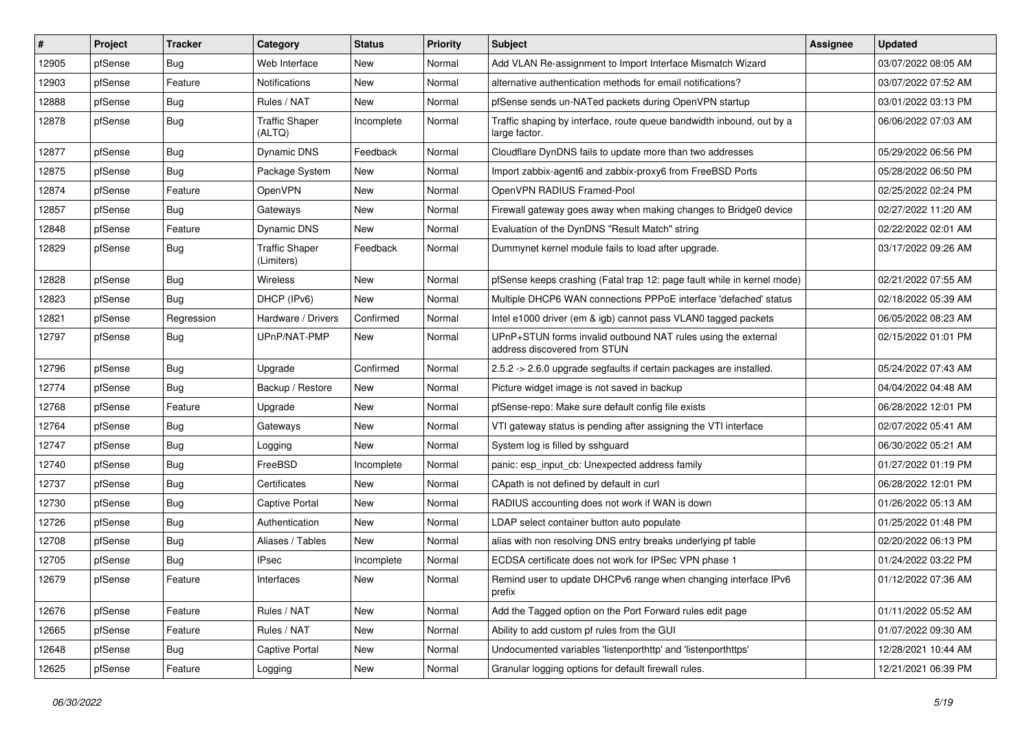| #     | Project | <b>Tracker</b> | Category                            | <b>Status</b> | <b>Priority</b> | Subject                                                                                       | <b>Assignee</b> | <b>Updated</b>      |
|-------|---------|----------------|-------------------------------------|---------------|-----------------|-----------------------------------------------------------------------------------------------|-----------------|---------------------|
| 12905 | pfSense | Bug            | Web Interface                       | New           | Normal          | Add VLAN Re-assignment to Import Interface Mismatch Wizard                                    |                 | 03/07/2022 08:05 AM |
| 12903 | pfSense | Feature        | <b>Notifications</b>                | New           | Normal          | alternative authentication methods for email notifications?                                   |                 | 03/07/2022 07:52 AM |
| 12888 | pfSense | <b>Bug</b>     | Rules / NAT                         | New           | Normal          | pfSense sends un-NATed packets during OpenVPN startup                                         |                 | 03/01/2022 03:13 PM |
| 12878 | pfSense | Bug            | <b>Traffic Shaper</b><br>(ALTQ)     | Incomplete    | Normal          | Traffic shaping by interface, route queue bandwidth inbound, out by a<br>large factor.        |                 | 06/06/2022 07:03 AM |
| 12877 | pfSense | Bug            | Dynamic DNS                         | Feedback      | Normal          | Cloudflare DynDNS fails to update more than two addresses                                     |                 | 05/29/2022 06:56 PM |
| 12875 | pfSense | <b>Bug</b>     | Package System                      | New           | Normal          | Import zabbix-agent6 and zabbix-proxy6 from FreeBSD Ports                                     |                 | 05/28/2022 06:50 PM |
| 12874 | pfSense | Feature        | OpenVPN                             | <b>New</b>    | Normal          | OpenVPN RADIUS Framed-Pool                                                                    |                 | 02/25/2022 02:24 PM |
| 12857 | pfSense | <b>Bug</b>     | Gateways                            | New           | Normal          | Firewall gateway goes away when making changes to Bridge0 device                              |                 | 02/27/2022 11:20 AM |
| 12848 | pfSense | Feature        | Dynamic DNS                         | <b>New</b>    | Normal          | Evaluation of the DynDNS "Result Match" string                                                |                 | 02/22/2022 02:01 AM |
| 12829 | pfSense | <b>Bug</b>     | <b>Traffic Shaper</b><br>(Limiters) | Feedback      | Normal          | Dummynet kernel module fails to load after upgrade.                                           |                 | 03/17/2022 09:26 AM |
| 12828 | pfSense | Bug            | Wireless                            | <b>New</b>    | Normal          | pfSense keeps crashing (Fatal trap 12: page fault while in kernel mode)                       |                 | 02/21/2022 07:55 AM |
| 12823 | pfSense | Bug            | DHCP (IPv6)                         | <b>New</b>    | Normal          | Multiple DHCP6 WAN connections PPPoE interface 'defached' status                              |                 | 02/18/2022 05:39 AM |
| 12821 | pfSense | Regression     | Hardware / Drivers                  | Confirmed     | Normal          | Intel e1000 driver (em & igb) cannot pass VLAN0 tagged packets                                |                 | 06/05/2022 08:23 AM |
| 12797 | pfSense | <b>Bug</b>     | UPnP/NAT-PMP                        | New           | Normal          | UPnP+STUN forms invalid outbound NAT rules using the external<br>address discovered from STUN |                 | 02/15/2022 01:01 PM |
| 12796 | pfSense | <b>Bug</b>     | Upgrade                             | Confirmed     | Normal          | 2.5.2 -> 2.6.0 upgrade segfaults if certain packages are installed.                           |                 | 05/24/2022 07:43 AM |
| 12774 | pfSense | Bug            | Backup / Restore                    | New           | Normal          | Picture widget image is not saved in backup                                                   |                 | 04/04/2022 04:48 AM |
| 12768 | pfSense | Feature        | Upgrade                             | New           | Normal          | pfSense-repo: Make sure default config file exists                                            |                 | 06/28/2022 12:01 PM |
| 12764 | pfSense | Bug            | Gateways                            | <b>New</b>    | Normal          | VTI gateway status is pending after assigning the VTI interface                               |                 | 02/07/2022 05:41 AM |
| 12747 | pfSense | <b>Bug</b>     | Logging                             | New           | Normal          | System log is filled by sshguard                                                              |                 | 06/30/2022 05:21 AM |
| 12740 | pfSense | Bug            | FreeBSD                             | Incomplete    | Normal          | panic: esp input cb: Unexpected address family                                                |                 | 01/27/2022 01:19 PM |
| 12737 | pfSense | Bug            | Certificates                        | New           | Normal          | CApath is not defined by default in curl                                                      |                 | 06/28/2022 12:01 PM |
| 12730 | pfSense | <b>Bug</b>     | <b>Captive Portal</b>               | New           | Normal          | RADIUS accounting does not work if WAN is down                                                |                 | 01/26/2022 05:13 AM |
| 12726 | pfSense | <b>Bug</b>     | Authentication                      | New           | Normal          | LDAP select container button auto populate                                                    |                 | 01/25/2022 01:48 PM |
| 12708 | pfSense | <b>Bug</b>     | Aliases / Tables                    | New           | Normal          | alias with non resolving DNS entry breaks underlying pf table                                 |                 | 02/20/2022 06:13 PM |
| 12705 | pfSense | <b>Bug</b>     | <b>IPsec</b>                        | Incomplete    | Normal          | ECDSA certificate does not work for IPSec VPN phase 1                                         |                 | 01/24/2022 03:22 PM |
| 12679 | pfSense | Feature        | Interfaces                          | New           | Normal          | Remind user to update DHCPv6 range when changing interface IPv6<br>prefix                     |                 | 01/12/2022 07:36 AM |
| 12676 | pfSense | Feature        | Rules / NAT                         | New           | Normal          | Add the Tagged option on the Port Forward rules edit page                                     |                 | 01/11/2022 05:52 AM |
| 12665 | pfSense | Feature        | Rules / NAT                         | New           | Normal          | Ability to add custom pf rules from the GUI                                                   |                 | 01/07/2022 09:30 AM |
| 12648 | pfSense | <b>Bug</b>     | Captive Portal                      | New           | Normal          | Undocumented variables 'listenporthttp' and 'listenporthttps'                                 |                 | 12/28/2021 10:44 AM |
| 12625 | pfSense | Feature        | Logging                             | New           | Normal          | Granular logging options for default firewall rules.                                          |                 | 12/21/2021 06:39 PM |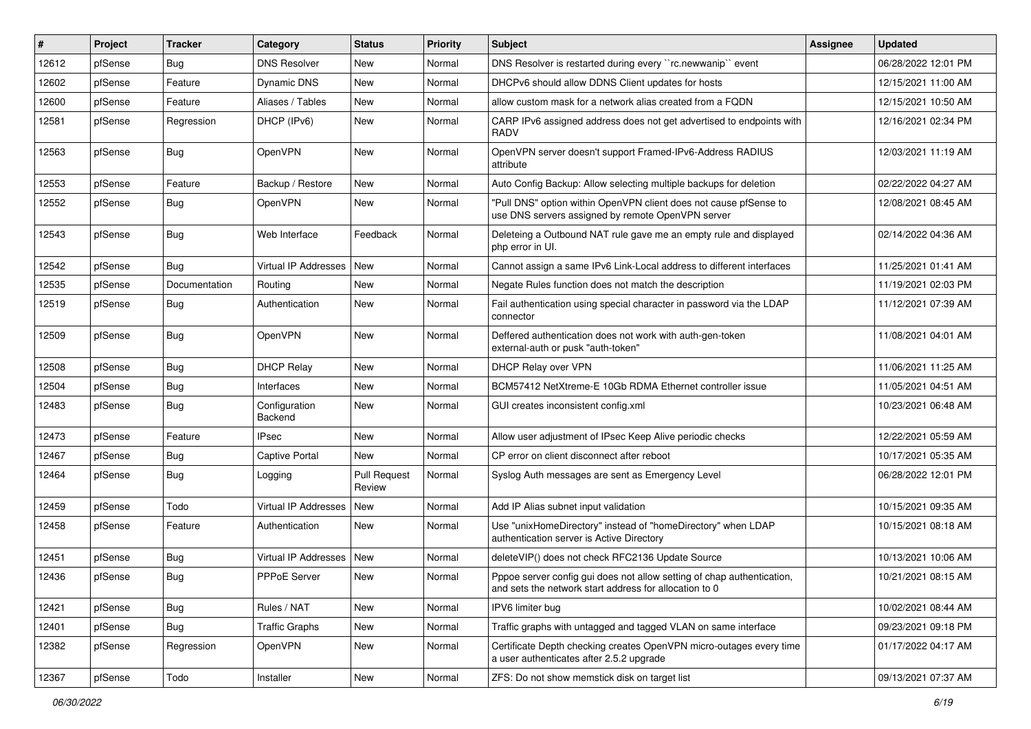| #     | Project | <b>Tracker</b> | Category                 | <b>Status</b>                 | <b>Priority</b> | <b>Subject</b>                                                                                                                   | Assignee | <b>Updated</b>      |
|-------|---------|----------------|--------------------------|-------------------------------|-----------------|----------------------------------------------------------------------------------------------------------------------------------|----------|---------------------|
| 12612 | pfSense | Bug            | <b>DNS Resolver</b>      | New                           | Normal          | DNS Resolver is restarted during every "rc.newwanip" event                                                                       |          | 06/28/2022 12:01 PM |
| 12602 | pfSense | Feature        | Dynamic DNS              | <b>New</b>                    | Normal          | DHCPv6 should allow DDNS Client updates for hosts                                                                                |          | 12/15/2021 11:00 AM |
| 12600 | pfSense | Feature        | Aliases / Tables         | <b>New</b>                    | Normal          | allow custom mask for a network alias created from a FQDN                                                                        |          | 12/15/2021 10:50 AM |
| 12581 | pfSense | Regression     | DHCP (IPv6)              | New                           | Normal          | CARP IPv6 assigned address does not get advertised to endpoints with<br><b>RADV</b>                                              |          | 12/16/2021 02:34 PM |
| 12563 | pfSense | Bug            | OpenVPN                  | <b>New</b>                    | Normal          | OpenVPN server doesn't support Framed-IPv6-Address RADIUS<br>attribute                                                           |          | 12/03/2021 11:19 AM |
| 12553 | pfSense | Feature        | Backup / Restore         | <b>New</b>                    | Normal          | Auto Config Backup: Allow selecting multiple backups for deletion                                                                |          | 02/22/2022 04:27 AM |
| 12552 | pfSense | Bug            | OpenVPN                  | New                           | Normal          | "Pull DNS" option within OpenVPN client does not cause pfSense to<br>use DNS servers assigned by remote OpenVPN server           |          | 12/08/2021 08:45 AM |
| 12543 | pfSense | Bug            | Web Interface            | Feedback                      | Normal          | Deleteing a Outbound NAT rule gave me an empty rule and displayed<br>php error in UI.                                            |          | 02/14/2022 04:36 AM |
| 12542 | pfSense | Bug            | Virtual IP Addresses     | <b>New</b>                    | Normal          | Cannot assign a same IPv6 Link-Local address to different interfaces                                                             |          | 11/25/2021 01:41 AM |
| 12535 | pfSense | Documentation  | Routing                  | <b>New</b>                    | Normal          | Negate Rules function does not match the description                                                                             |          | 11/19/2021 02:03 PM |
| 12519 | pfSense | Bug            | Authentication           | New                           | Normal          | Fail authentication using special character in password via the LDAP<br>connector                                                |          | 11/12/2021 07:39 AM |
| 12509 | pfSense | Bug            | OpenVPN                  | <b>New</b>                    | Normal          | Deffered authentication does not work with auth-gen-token<br>external-auth or pusk "auth-token"                                  |          | 11/08/2021 04:01 AM |
| 12508 | pfSense | Bug            | <b>DHCP Relay</b>        | <b>New</b>                    | Normal          | DHCP Relay over VPN                                                                                                              |          | 11/06/2021 11:25 AM |
| 12504 | pfSense | <b>Bug</b>     | Interfaces               | <b>New</b>                    | Normal          | BCM57412 NetXtreme-E 10Gb RDMA Ethernet controller issue                                                                         |          | 11/05/2021 04:51 AM |
| 12483 | pfSense | Bug            | Configuration<br>Backend | New                           | Normal          | GUI creates inconsistent config.xml                                                                                              |          | 10/23/2021 06:48 AM |
| 12473 | pfSense | Feature        | <b>IPsec</b>             | <b>New</b>                    | Normal          | Allow user adjustment of IPsec Keep Alive periodic checks                                                                        |          | 12/22/2021 05:59 AM |
| 12467 | pfSense | Bug            | <b>Captive Portal</b>    | <b>New</b>                    | Normal          | CP error on client disconnect after reboot                                                                                       |          | 10/17/2021 05:35 AM |
| 12464 | pfSense | <b>Bug</b>     | Logging                  | <b>Pull Request</b><br>Review | Normal          | Syslog Auth messages are sent as Emergency Level                                                                                 |          | 06/28/2022 12:01 PM |
| 12459 | pfSense | Todo           | Virtual IP Addresses     | <b>New</b>                    | Normal          | Add IP Alias subnet input validation                                                                                             |          | 10/15/2021 09:35 AM |
| 12458 | pfSense | Feature        | Authentication           | New                           | Normal          | Use "unixHomeDirectory" instead of "homeDirectory" when LDAP<br>authentication server is Active Directory                        |          | 10/15/2021 08:18 AM |
| 12451 | pfSense | Bug            | Virtual IP Addresses     | New                           | Normal          | deleteVIP() does not check RFC2136 Update Source                                                                                 |          | 10/13/2021 10:06 AM |
| 12436 | pfSense | Bug            | <b>PPPoE Server</b>      | New                           | Normal          | Pppoe server config gui does not allow setting of chap authentication,<br>and sets the network start address for allocation to 0 |          | 10/21/2021 08:15 AM |
| 12421 | pfSense | Bug            | Rules / NAT              | New                           | Normal          | IPV6 limiter bug                                                                                                                 |          | 10/02/2021 08:44 AM |
| 12401 | pfSense | <b>Bug</b>     | <b>Traffic Graphs</b>    | New                           | Normal          | Traffic graphs with untagged and tagged VLAN on same interface                                                                   |          | 09/23/2021 09:18 PM |
| 12382 | pfSense | Regression     | OpenVPN                  | New                           | Normal          | Certificate Depth checking creates OpenVPN micro-outages every time<br>a user authenticates after 2.5.2 upgrade                  |          | 01/17/2022 04:17 AM |
| 12367 | pfSense | Todo           | Installer                | New                           | Normal          | ZFS: Do not show memstick disk on target list                                                                                    |          | 09/13/2021 07:37 AM |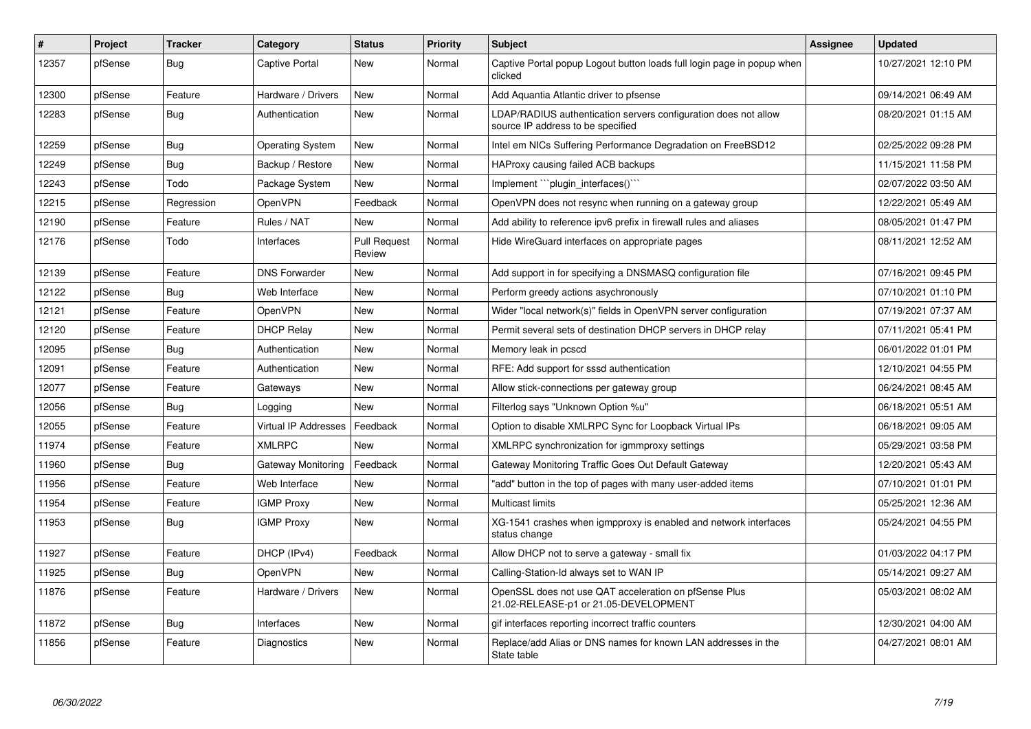| #     | Project | <b>Tracker</b> | Category                    | <b>Status</b>                 | <b>Priority</b> | <b>Subject</b>                                                                                       | Assignee | <b>Updated</b>      |
|-------|---------|----------------|-----------------------------|-------------------------------|-----------------|------------------------------------------------------------------------------------------------------|----------|---------------------|
| 12357 | pfSense | Bug            | Captive Portal              | <b>New</b>                    | Normal          | Captive Portal popup Logout button loads full login page in popup when<br>clicked                    |          | 10/27/2021 12:10 PM |
| 12300 | pfSense | Feature        | Hardware / Drivers          | <b>New</b>                    | Normal          | Add Aquantia Atlantic driver to pfsense                                                              |          | 09/14/2021 06:49 AM |
| 12283 | pfSense | Bug            | Authentication              | <b>New</b>                    | Normal          | LDAP/RADIUS authentication servers configuration does not allow<br>source IP address to be specified |          | 08/20/2021 01:15 AM |
| 12259 | pfSense | Bug            | <b>Operating System</b>     | New                           | Normal          | Intel em NICs Suffering Performance Degradation on FreeBSD12                                         |          | 02/25/2022 09:28 PM |
| 12249 | pfSense | Bug            | Backup / Restore            | <b>New</b>                    | Normal          | HAProxy causing failed ACB backups                                                                   |          | 11/15/2021 11:58 PM |
| 12243 | pfSense | Todo           | Package System              | <b>New</b>                    | Normal          | Implement "plugin interfaces()"                                                                      |          | 02/07/2022 03:50 AM |
| 12215 | pfSense | Regression     | <b>OpenVPN</b>              | Feedback                      | Normal          | OpenVPN does not resync when running on a gateway group                                              |          | 12/22/2021 05:49 AM |
| 12190 | pfSense | Feature        | Rules / NAT                 | <b>New</b>                    | Normal          | Add ability to reference ipv6 prefix in firewall rules and aliases                                   |          | 08/05/2021 01:47 PM |
| 12176 | pfSense | Todo           | Interfaces                  | <b>Pull Request</b><br>Review | Normal          | Hide WireGuard interfaces on appropriate pages                                                       |          | 08/11/2021 12:52 AM |
| 12139 | pfSense | Feature        | <b>DNS Forwarder</b>        | <b>New</b>                    | Normal          | Add support in for specifying a DNSMASQ configuration file                                           |          | 07/16/2021 09:45 PM |
| 12122 | pfSense | Bug            | Web Interface               | New                           | Normal          | Perform greedy actions asychronously                                                                 |          | 07/10/2021 01:10 PM |
| 12121 | pfSense | Feature        | <b>OpenVPN</b>              | <b>New</b>                    | Normal          | Wider "local network(s)" fields in OpenVPN server configuration                                      |          | 07/19/2021 07:37 AM |
| 12120 | pfSense | Feature        | <b>DHCP Relay</b>           | <b>New</b>                    | Normal          | Permit several sets of destination DHCP servers in DHCP relay                                        |          | 07/11/2021 05:41 PM |
| 12095 | pfSense | Bug            | Authentication              | <b>New</b>                    | Normal          | Memory leak in pcscd                                                                                 |          | 06/01/2022 01:01 PM |
| 12091 | pfSense | Feature        | Authentication              | <b>New</b>                    | Normal          | RFE: Add support for sssd authentication                                                             |          | 12/10/2021 04:55 PM |
| 12077 | pfSense | Feature        | Gateways                    | <b>New</b>                    | Normal          | Allow stick-connections per gateway group                                                            |          | 06/24/2021 08:45 AM |
| 12056 | pfSense | <b>Bug</b>     | Logging                     | <b>New</b>                    | Normal          | Filterlog says "Unknown Option %u"                                                                   |          | 06/18/2021 05:51 AM |
| 12055 | pfSense | Feature        | <b>Virtual IP Addresses</b> | Feedback                      | Normal          | Option to disable XMLRPC Sync for Loopback Virtual IPs                                               |          | 06/18/2021 09:05 AM |
| 11974 | pfSense | Feature        | <b>XMLRPC</b>               | <b>New</b>                    | Normal          | XMLRPC synchronization for igmmproxy settings                                                        |          | 05/29/2021 03:58 PM |
| 11960 | pfSense | Bug            | Gateway Monitoring          | Feedback                      | Normal          | Gateway Monitoring Traffic Goes Out Default Gateway                                                  |          | 12/20/2021 05:43 AM |
| 11956 | pfSense | Feature        | Web Interface               | <b>New</b>                    | Normal          | "add" button in the top of pages with many user-added items                                          |          | 07/10/2021 01:01 PM |
| 11954 | pfSense | Feature        | <b>IGMP Proxy</b>           | <b>New</b>                    | Normal          | <b>Multicast limits</b>                                                                              |          | 05/25/2021 12:36 AM |
| 11953 | pfSense | Bug            | <b>IGMP Proxy</b>           | <b>New</b>                    | Normal          | XG-1541 crashes when igmpproxy is enabled and network interfaces<br>status change                    |          | 05/24/2021 04:55 PM |
| 11927 | pfSense | Feature        | DHCP (IPv4)                 | Feedback                      | Normal          | Allow DHCP not to serve a gateway - small fix                                                        |          | 01/03/2022 04:17 PM |
| 11925 | pfSense | <b>Bug</b>     | <b>OpenVPN</b>              | <b>New</b>                    | Normal          | Calling-Station-Id always set to WAN IP                                                              |          | 05/14/2021 09:27 AM |
| 11876 | pfSense | Feature        | Hardware / Drivers          | <b>New</b>                    | Normal          | OpenSSL does not use QAT acceleration on pfSense Plus<br>21.02-RELEASE-p1 or 21.05-DEVELOPMENT       |          | 05/03/2021 08:02 AM |
| 11872 | pfSense | Bug            | Interfaces                  | <b>New</b>                    | Normal          | gif interfaces reporting incorrect traffic counters                                                  |          | 12/30/2021 04:00 AM |
| 11856 | pfSense | Feature        | Diagnostics                 | <b>New</b>                    | Normal          | Replace/add Alias or DNS names for known LAN addresses in the<br>State table                         |          | 04/27/2021 08:01 AM |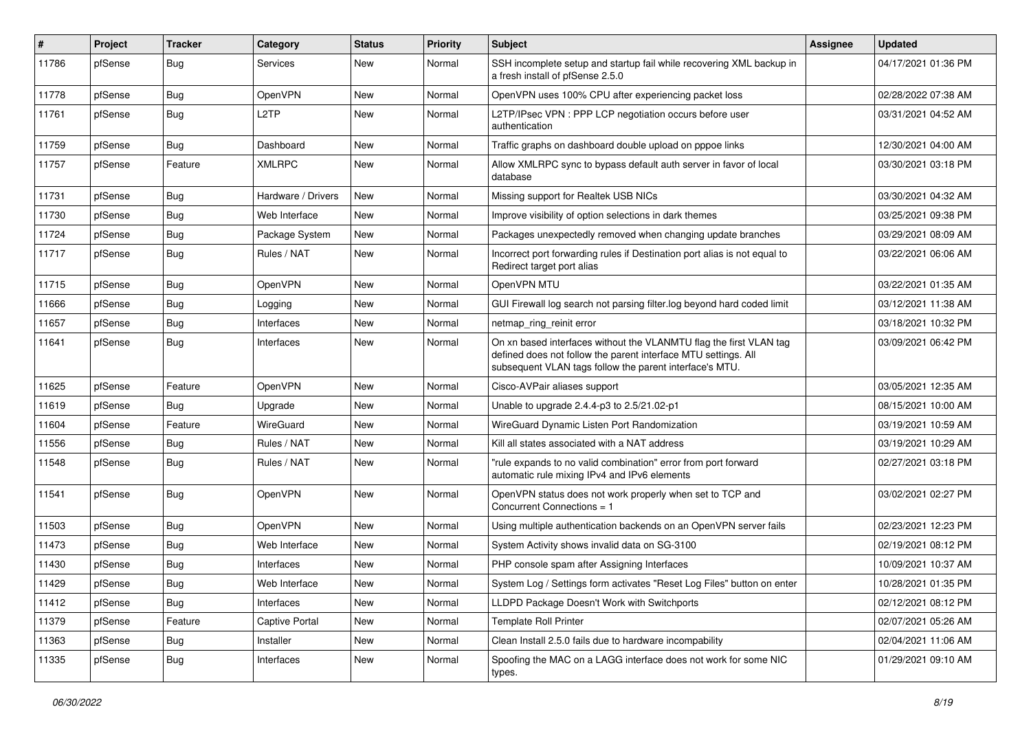| ∦     | Project | <b>Tracker</b> | Category           | <b>Status</b> | <b>Priority</b> | <b>Subject</b>                                                                                                                                                                                  | Assignee | <b>Updated</b>      |
|-------|---------|----------------|--------------------|---------------|-----------------|-------------------------------------------------------------------------------------------------------------------------------------------------------------------------------------------------|----------|---------------------|
| 11786 | pfSense | <b>Bug</b>     | <b>Services</b>    | New           | Normal          | SSH incomplete setup and startup fail while recovering XML backup in<br>a fresh install of pfSense 2.5.0                                                                                        |          | 04/17/2021 01:36 PM |
| 11778 | pfSense | <b>Bug</b>     | OpenVPN            | New           | Normal          | OpenVPN uses 100% CPU after experiencing packet loss                                                                                                                                            |          | 02/28/2022 07:38 AM |
| 11761 | pfSense | <b>Bug</b>     | L <sub>2</sub> TP  | New           | Normal          | L2TP/IPsec VPN : PPP LCP negotiation occurs before user<br>authentication                                                                                                                       |          | 03/31/2021 04:52 AM |
| 11759 | pfSense | <b>Bug</b>     | Dashboard          | New           | Normal          | Traffic graphs on dashboard double upload on pppoe links                                                                                                                                        |          | 12/30/2021 04:00 AM |
| 11757 | pfSense | Feature        | <b>XMLRPC</b>      | New           | Normal          | Allow XMLRPC sync to bypass default auth server in favor of local<br>database                                                                                                                   |          | 03/30/2021 03:18 PM |
| 11731 | pfSense | Bug            | Hardware / Drivers | New           | Normal          | Missing support for Realtek USB NICs                                                                                                                                                            |          | 03/30/2021 04:32 AM |
| 11730 | pfSense | <b>Bug</b>     | Web Interface      | <b>New</b>    | Normal          | Improve visibility of option selections in dark themes                                                                                                                                          |          | 03/25/2021 09:38 PM |
| 11724 | pfSense | <b>Bug</b>     | Package System     | New           | Normal          | Packages unexpectedly removed when changing update branches                                                                                                                                     |          | 03/29/2021 08:09 AM |
| 11717 | pfSense | <b>Bug</b>     | Rules / NAT        | <b>New</b>    | Normal          | Incorrect port forwarding rules if Destination port alias is not equal to<br>Redirect target port alias                                                                                         |          | 03/22/2021 06:06 AM |
| 11715 | pfSense | <b>Bug</b>     | <b>OpenVPN</b>     | <b>New</b>    | Normal          | OpenVPN MTU                                                                                                                                                                                     |          | 03/22/2021 01:35 AM |
| 11666 | pfSense | <b>Bug</b>     | Logging            | New           | Normal          | GUI Firewall log search not parsing filter.log beyond hard coded limit                                                                                                                          |          | 03/12/2021 11:38 AM |
| 11657 | pfSense | <b>Bug</b>     | Interfaces         | <b>New</b>    | Normal          | netmap_ring_reinit error                                                                                                                                                                        |          | 03/18/2021 10:32 PM |
| 11641 | pfSense | <b>Bug</b>     | Interfaces         | New           | Normal          | On xn based interfaces without the VLANMTU flag the first VLAN tag<br>defined does not follow the parent interface MTU settings. All<br>subsequent VLAN tags follow the parent interface's MTU. |          | 03/09/2021 06:42 PM |
| 11625 | pfSense | Feature        | OpenVPN            | <b>New</b>    | Normal          | Cisco-AVPair aliases support                                                                                                                                                                    |          | 03/05/2021 12:35 AM |
| 11619 | pfSense | <b>Bug</b>     | Upgrade            | New           | Normal          | Unable to upgrade 2.4.4-p3 to 2.5/21.02-p1                                                                                                                                                      |          | 08/15/2021 10:00 AM |
| 11604 | pfSense | Feature        | WireGuard          | New           | Normal          | WireGuard Dynamic Listen Port Randomization                                                                                                                                                     |          | 03/19/2021 10:59 AM |
| 11556 | pfSense | <b>Bug</b>     | Rules / NAT        | New           | Normal          | Kill all states associated with a NAT address                                                                                                                                                   |          | 03/19/2021 10:29 AM |
| 11548 | pfSense | Bug            | Rules / NAT        | New           | Normal          | "rule expands to no valid combination" error from port forward<br>automatic rule mixing IPv4 and IPv6 elements                                                                                  |          | 02/27/2021 03:18 PM |
| 11541 | pfSense | <b>Bug</b>     | <b>OpenVPN</b>     | New           | Normal          | OpenVPN status does not work properly when set to TCP and<br>Concurrent Connections = 1                                                                                                         |          | 03/02/2021 02:27 PM |
| 11503 | pfSense | <b>Bug</b>     | OpenVPN            | New           | Normal          | Using multiple authentication backends on an OpenVPN server fails                                                                                                                               |          | 02/23/2021 12:23 PM |
| 11473 | pfSense | <b>Bug</b>     | Web Interface      | <b>New</b>    | Normal          | System Activity shows invalid data on SG-3100                                                                                                                                                   |          | 02/19/2021 08:12 PM |
| 11430 | pfSense | <b>Bug</b>     | Interfaces         | New           | Normal          | PHP console spam after Assigning Interfaces                                                                                                                                                     |          | 10/09/2021 10:37 AM |
| 11429 | pfSense | <b>Bug</b>     | Web Interface      | New           | Normal          | System Log / Settings form activates "Reset Log Files" button on enter                                                                                                                          |          | 10/28/2021 01:35 PM |
| 11412 | pfSense | Bug            | Interfaces         | New           | Normal          | LLDPD Package Doesn't Work with Switchports                                                                                                                                                     |          | 02/12/2021 08:12 PM |
| 11379 | pfSense | Feature        | Captive Portal     | New           | Normal          | Template Roll Printer                                                                                                                                                                           |          | 02/07/2021 05:26 AM |
| 11363 | pfSense | <b>Bug</b>     | Installer          | New           | Normal          | Clean Install 2.5.0 fails due to hardware incompability                                                                                                                                         |          | 02/04/2021 11:06 AM |
| 11335 | pfSense | Bug            | Interfaces         | New           | Normal          | Spoofing the MAC on a LAGG interface does not work for some NIC<br>types.                                                                                                                       |          | 01/29/2021 09:10 AM |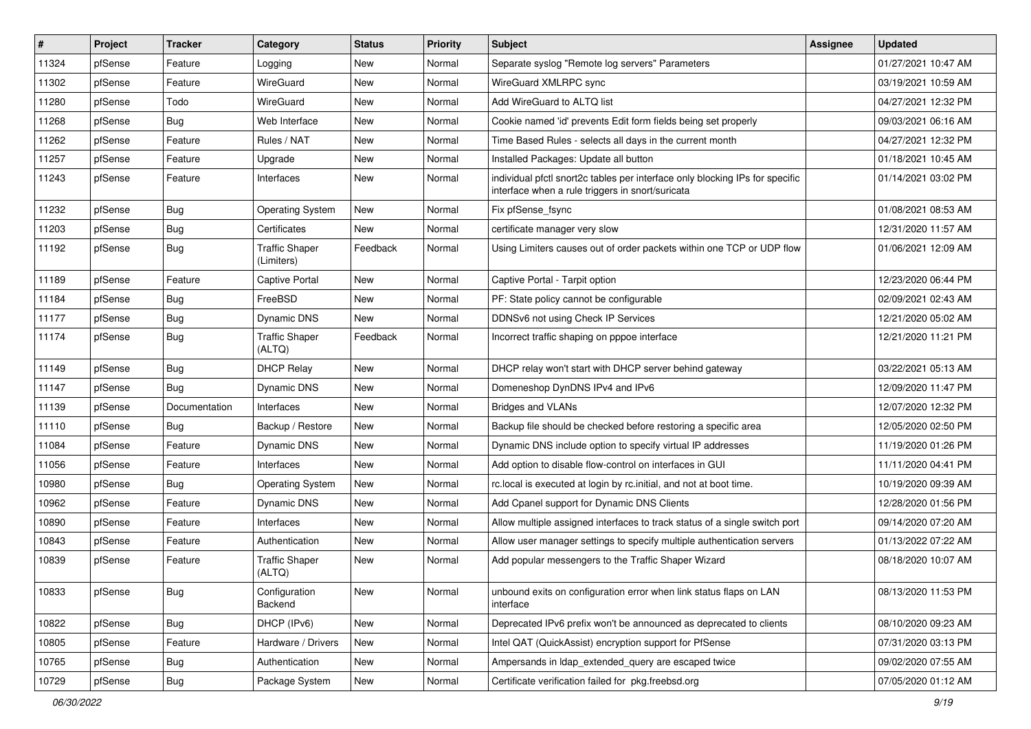| #     | Project | <b>Tracker</b> | Category                            | <b>Status</b> | <b>Priority</b> | <b>Subject</b>                                                                                                                   | <b>Assignee</b> | <b>Updated</b>      |
|-------|---------|----------------|-------------------------------------|---------------|-----------------|----------------------------------------------------------------------------------------------------------------------------------|-----------------|---------------------|
| 11324 | pfSense | Feature        | Logging                             | New           | Normal          | Separate syslog "Remote log servers" Parameters                                                                                  |                 | 01/27/2021 10:47 AM |
| 11302 | pfSense | Feature        | <b>WireGuard</b>                    | New           | Normal          | WireGuard XMLRPC sync                                                                                                            |                 | 03/19/2021 10:59 AM |
| 11280 | pfSense | Todo           | WireGuard                           | New           | Normal          | Add WireGuard to ALTQ list                                                                                                       |                 | 04/27/2021 12:32 PM |
| 11268 | pfSense | <b>Bug</b>     | Web Interface                       | New           | Normal          | Cookie named 'id' prevents Edit form fields being set properly                                                                   |                 | 09/03/2021 06:16 AM |
| 11262 | pfSense | Feature        | Rules / NAT                         | New           | Normal          | Time Based Rules - selects all days in the current month                                                                         |                 | 04/27/2021 12:32 PM |
| 11257 | pfSense | Feature        | Upgrade                             | New           | Normal          | Installed Packages: Update all button                                                                                            |                 | 01/18/2021 10:45 AM |
| 11243 | pfSense | Feature        | Interfaces                          | New           | Normal          | individual pfctl snort2c tables per interface only blocking IPs for specific<br>interface when a rule triggers in snort/suricata |                 | 01/14/2021 03:02 PM |
| 11232 | pfSense | Bug            | <b>Operating System</b>             | New           | Normal          | Fix pfSense fsync                                                                                                                |                 | 01/08/2021 08:53 AM |
| 11203 | pfSense | Bug            | Certificates                        | <b>New</b>    | Normal          | certificate manager very slow                                                                                                    |                 | 12/31/2020 11:57 AM |
| 11192 | pfSense | <b>Bug</b>     | <b>Traffic Shaper</b><br>(Limiters) | Feedback      | Normal          | Using Limiters causes out of order packets within one TCP or UDP flow                                                            |                 | 01/06/2021 12:09 AM |
| 11189 | pfSense | Feature        | <b>Captive Portal</b>               | New           | Normal          | Captive Portal - Tarpit option                                                                                                   |                 | 12/23/2020 06:44 PM |
| 11184 | pfSense | <b>Bug</b>     | FreeBSD                             | New           | Normal          | PF: State policy cannot be configurable                                                                                          |                 | 02/09/2021 02:43 AM |
| 11177 | pfSense | Bug            | Dynamic DNS                         | New           | Normal          | DDNSv6 not using Check IP Services                                                                                               |                 | 12/21/2020 05:02 AM |
| 11174 | pfSense | <b>Bug</b>     | <b>Traffic Shaper</b><br>(ALTQ)     | Feedback      | Normal          | Incorrect traffic shaping on pppoe interface                                                                                     |                 | 12/21/2020 11:21 PM |
| 11149 | pfSense | Bug            | <b>DHCP Relay</b>                   | <b>New</b>    | Normal          | DHCP relay won't start with DHCP server behind gateway                                                                           |                 | 03/22/2021 05:13 AM |
| 11147 | pfSense | Bug            | Dynamic DNS                         | New           | Normal          | Domeneshop DynDNS IPv4 and IPv6                                                                                                  |                 | 12/09/2020 11:47 PM |
| 11139 | pfSense | Documentation  | Interfaces                          | New           | Normal          | <b>Bridges and VLANs</b>                                                                                                         |                 | 12/07/2020 12:32 PM |
| 11110 | pfSense | Bug            | Backup / Restore                    | New           | Normal          | Backup file should be checked before restoring a specific area                                                                   |                 | 12/05/2020 02:50 PM |
| 11084 | pfSense | Feature        | Dynamic DNS                         | New           | Normal          | Dynamic DNS include option to specify virtual IP addresses                                                                       |                 | 11/19/2020 01:26 PM |
| 11056 | pfSense | Feature        | <b>Interfaces</b>                   | <b>New</b>    | Normal          | Add option to disable flow-control on interfaces in GUI                                                                          |                 | 11/11/2020 04:41 PM |
| 10980 | pfSense | <b>Bug</b>     | <b>Operating System</b>             | New           | Normal          | rc.local is executed at login by rc.initial, and not at boot time.                                                               |                 | 10/19/2020 09:39 AM |
| 10962 | pfSense | Feature        | Dynamic DNS                         | New           | Normal          | Add Cpanel support for Dynamic DNS Clients                                                                                       |                 | 12/28/2020 01:56 PM |
| 10890 | pfSense | Feature        | Interfaces                          | New           | Normal          | Allow multiple assigned interfaces to track status of a single switch port                                                       |                 | 09/14/2020 07:20 AM |
| 10843 | pfSense | Feature        | Authentication                      | New           | Normal          | Allow user manager settings to specify multiple authentication servers                                                           |                 | 01/13/2022 07:22 AM |
| 10839 | pfSense | Feature        | <b>Traffic Shaper</b><br>(ALTQ)     | New           | Normal          | Add popular messengers to the Traffic Shaper Wizard                                                                              |                 | 08/18/2020 10:07 AM |
| 10833 | pfSense | Bug            | Configuration<br>Backend            | New           | Normal          | unbound exits on configuration error when link status flaps on LAN<br>interface                                                  |                 | 08/13/2020 11:53 PM |
| 10822 | pfSense | <b>Bug</b>     | DHCP (IPv6)                         | New           | Normal          | Deprecated IPv6 prefix won't be announced as deprecated to clients                                                               |                 | 08/10/2020 09:23 AM |
| 10805 | pfSense | Feature        | Hardware / Drivers                  | New           | Normal          | Intel QAT (QuickAssist) encryption support for PfSense                                                                           |                 | 07/31/2020 03:13 PM |
| 10765 | pfSense | <b>Bug</b>     | Authentication                      | New           | Normal          | Ampersands in Idap_extended_query are escaped twice                                                                              |                 | 09/02/2020 07:55 AM |
| 10729 | pfSense | Bug            | Package System                      | New           | Normal          | Certificate verification failed for pkg.freebsd.org                                                                              |                 | 07/05/2020 01:12 AM |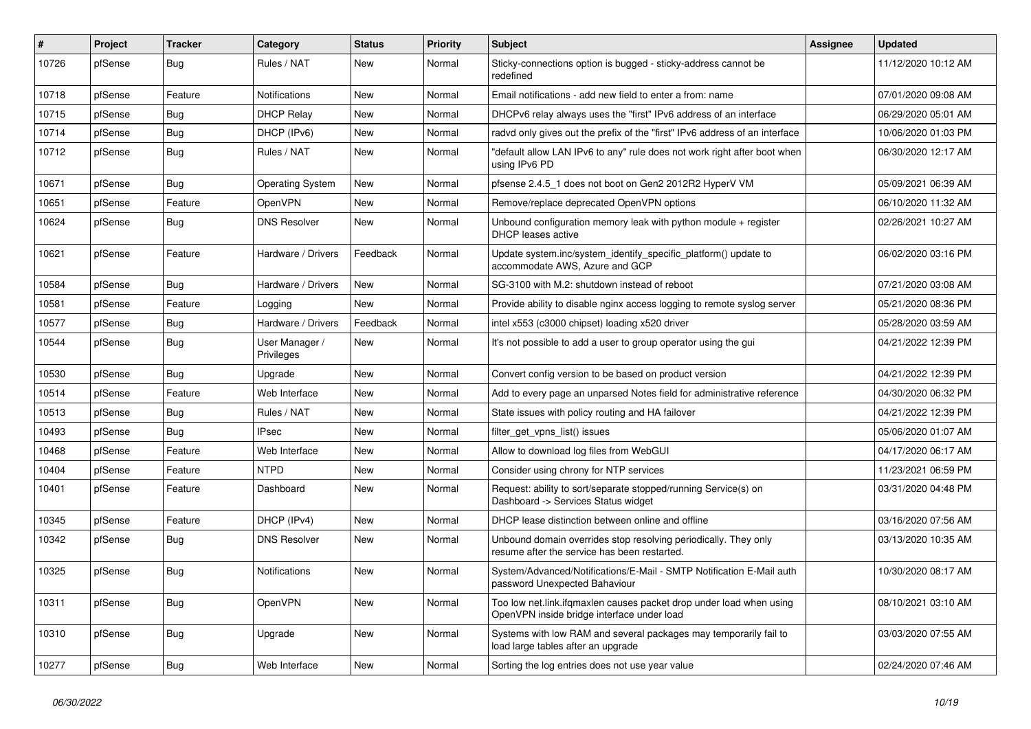| $\#$  | Project | <b>Tracker</b> | Category                     | <b>Status</b> | <b>Priority</b> | Subject                                                                                                           | Assignee | <b>Updated</b>      |
|-------|---------|----------------|------------------------------|---------------|-----------------|-------------------------------------------------------------------------------------------------------------------|----------|---------------------|
| 10726 | pfSense | <b>Bug</b>     | Rules / NAT                  | New           | Normal          | Sticky-connections option is bugged - sticky-address cannot be<br>redefined                                       |          | 11/12/2020 10:12 AM |
| 10718 | pfSense | Feature        | <b>Notifications</b>         | <b>New</b>    | Normal          | Email notifications - add new field to enter a from: name                                                         |          | 07/01/2020 09:08 AM |
| 10715 | pfSense | <b>Bug</b>     | <b>DHCP Relay</b>            | New           | Normal          | DHCPv6 relay always uses the "first" IPv6 address of an interface                                                 |          | 06/29/2020 05:01 AM |
| 10714 | pfSense | Bug            | DHCP (IPv6)                  | <b>New</b>    | Normal          | radvd only gives out the prefix of the "first" IPv6 address of an interface                                       |          | 10/06/2020 01:03 PM |
| 10712 | pfSense | Bug            | Rules / NAT                  | <b>New</b>    | Normal          | "default allow LAN IPv6 to any" rule does not work right after boot when<br>using IPv6 PD                         |          | 06/30/2020 12:17 AM |
| 10671 | pfSense | Bug            | <b>Operating System</b>      | <b>New</b>    | Normal          | pfsense 2.4.5_1 does not boot on Gen2 2012R2 HyperV VM                                                            |          | 05/09/2021 06:39 AM |
| 10651 | pfSense | Feature        | OpenVPN                      | New           | Normal          | Remove/replace deprecated OpenVPN options                                                                         |          | 06/10/2020 11:32 AM |
| 10624 | pfSense | <b>Bug</b>     | <b>DNS Resolver</b>          | <b>New</b>    | Normal          | Unbound configuration memory leak with python module $+$ register<br>DHCP leases active                           |          | 02/26/2021 10:27 AM |
| 10621 | pfSense | Feature        | Hardware / Drivers           | Feedback      | Normal          | Update system.inc/system_identify_specific_platform() update to<br>accommodate AWS, Azure and GCP                 |          | 06/02/2020 03:16 PM |
| 10584 | pfSense | <b>Bug</b>     | Hardware / Drivers           | <b>New</b>    | Normal          | SG-3100 with M.2: shutdown instead of reboot                                                                      |          | 07/21/2020 03:08 AM |
| 10581 | pfSense | Feature        | Logging                      | New           | Normal          | Provide ability to disable nginx access logging to remote syslog server                                           |          | 05/21/2020 08:36 PM |
| 10577 | pfSense | Bug            | Hardware / Drivers           | Feedback      | Normal          | intel x553 (c3000 chipset) loading x520 driver                                                                    |          | 05/28/2020 03:59 AM |
| 10544 | pfSense | Bug            | User Manager /<br>Privileges | New           | Normal          | It's not possible to add a user to group operator using the gui                                                   |          | 04/21/2022 12:39 PM |
| 10530 | pfSense | <b>Bug</b>     | Upgrade                      | New           | Normal          | Convert config version to be based on product version                                                             |          | 04/21/2022 12:39 PM |
| 10514 | pfSense | Feature        | Web Interface                | <b>New</b>    | Normal          | Add to every page an unparsed Notes field for administrative reference                                            |          | 04/30/2020 06:32 PM |
| 10513 | pfSense | Bug            | Rules / NAT                  | <b>New</b>    | Normal          | State issues with policy routing and HA failover                                                                  |          | 04/21/2022 12:39 PM |
| 10493 | pfSense | <b>Bug</b>     | <b>IPsec</b>                 | <b>New</b>    | Normal          | filter_get_vpns_list() issues                                                                                     |          | 05/06/2020 01:07 AM |
| 10468 | pfSense | Feature        | Web Interface                | New           | Normal          | Allow to download log files from WebGUI                                                                           |          | 04/17/2020 06:17 AM |
| 10404 | pfSense | Feature        | <b>NTPD</b>                  | <b>New</b>    | Normal          | Consider using chrony for NTP services                                                                            |          | 11/23/2021 06:59 PM |
| 10401 | pfSense | Feature        | Dashboard                    | New           | Normal          | Request: ability to sort/separate stopped/running Service(s) on<br>Dashboard -> Services Status widget            |          | 03/31/2020 04:48 PM |
| 10345 | pfSense | Feature        | DHCP (IPv4)                  | New           | Normal          | DHCP lease distinction between online and offline                                                                 |          | 03/16/2020 07:56 AM |
| 10342 | pfSense | <b>Bug</b>     | <b>DNS Resolver</b>          | <b>New</b>    | Normal          | Unbound domain overrides stop resolving periodically. They only<br>resume after the service has been restarted.   |          | 03/13/2020 10:35 AM |
| 10325 | pfSense | Bug            | <b>Notifications</b>         | <b>New</b>    | Normal          | System/Advanced/Notifications/E-Mail - SMTP Notification E-Mail auth<br>password Unexpected Bahaviour             |          | 10/30/2020 08:17 AM |
| 10311 | pfSense | <b>Bug</b>     | OpenVPN                      | New           | Normal          | Too low net.link.ifqmaxlen causes packet drop under load when using<br>OpenVPN inside bridge interface under load |          | 08/10/2021 03:10 AM |
| 10310 | pfSense | <b>Bug</b>     | Upgrade                      | New           | Normal          | Systems with low RAM and several packages may temporarily fail to<br>load large tables after an upgrade           |          | 03/03/2020 07:55 AM |
| 10277 | pfSense | Bug            | Web Interface                | New           | Normal          | Sorting the log entries does not use year value                                                                   |          | 02/24/2020 07:46 AM |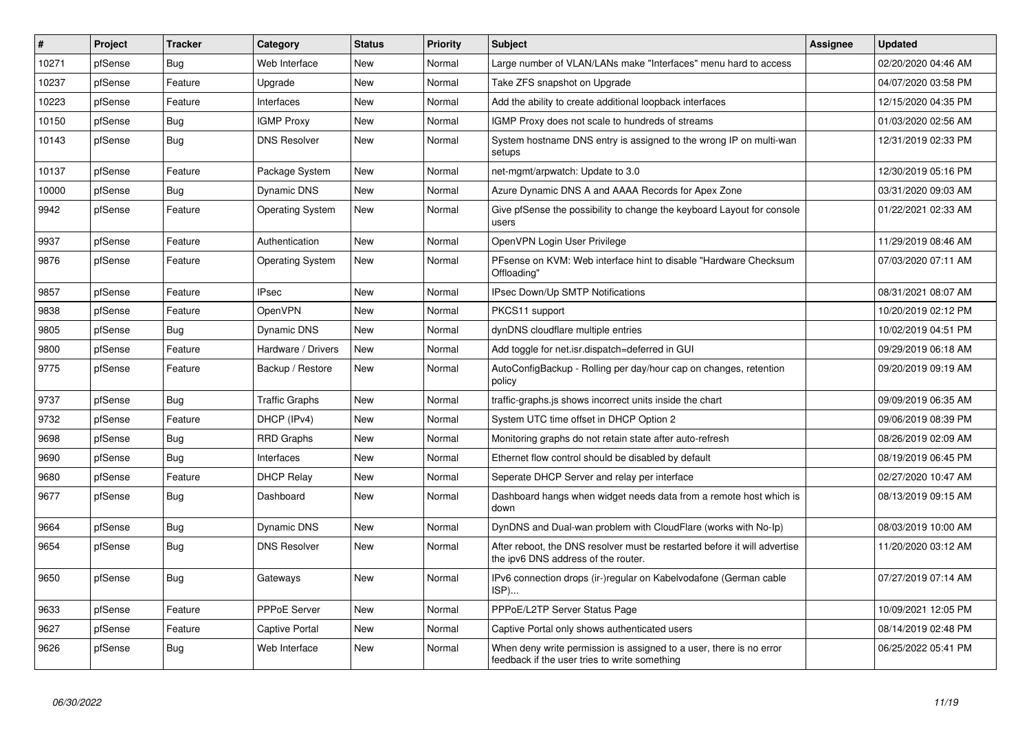| #     | Project | <b>Tracker</b> | Category                | <b>Status</b> | <b>Priority</b> | <b>Subject</b>                                                                                                       | <b>Assignee</b> | <b>Updated</b>      |
|-------|---------|----------------|-------------------------|---------------|-----------------|----------------------------------------------------------------------------------------------------------------------|-----------------|---------------------|
| 10271 | pfSense | Bug            | Web Interface           | <b>New</b>    | Normal          | Large number of VLAN/LANs make "Interfaces" menu hard to access                                                      |                 | 02/20/2020 04:46 AM |
| 10237 | pfSense | Feature        | Upgrade                 | <b>New</b>    | Normal          | Take ZFS snapshot on Upgrade                                                                                         |                 | 04/07/2020 03:58 PM |
| 10223 | pfSense | Feature        | Interfaces              | <b>New</b>    | Normal          | Add the ability to create additional loopback interfaces                                                             |                 | 12/15/2020 04:35 PM |
| 10150 | pfSense | Bug            | <b>IGMP Proxy</b>       | <b>New</b>    | Normal          | IGMP Proxy does not scale to hundreds of streams                                                                     |                 | 01/03/2020 02:56 AM |
| 10143 | pfSense | Bug            | <b>DNS Resolver</b>     | <b>New</b>    | Normal          | System hostname DNS entry is assigned to the wrong IP on multi-wan<br>setups                                         |                 | 12/31/2019 02:33 PM |
| 10137 | pfSense | Feature        | Package System          | <b>New</b>    | Normal          | net-mgmt/arpwatch: Update to 3.0                                                                                     |                 | 12/30/2019 05:16 PM |
| 10000 | pfSense | <b>Bug</b>     | Dynamic DNS             | New           | Normal          | Azure Dynamic DNS A and AAAA Records for Apex Zone                                                                   |                 | 03/31/2020 09:03 AM |
| 9942  | pfSense | Feature        | <b>Operating System</b> | <b>New</b>    | Normal          | Give pfSense the possibility to change the keyboard Layout for console<br>users                                      |                 | 01/22/2021 02:33 AM |
| 9937  | pfSense | Feature        | Authentication          | <b>New</b>    | Normal          | OpenVPN Login User Privilege                                                                                         |                 | 11/29/2019 08:46 AM |
| 9876  | pfSense | Feature        | <b>Operating System</b> | <b>New</b>    | Normal          | PFsense on KVM: Web interface hint to disable "Hardware Checksum<br>Offloading"                                      |                 | 07/03/2020 07:11 AM |
| 9857  | pfSense | Feature        | <b>IPsec</b>            | <b>New</b>    | Normal          | IPsec Down/Up SMTP Notifications                                                                                     |                 | 08/31/2021 08:07 AM |
| 9838  | pfSense | Feature        | <b>OpenVPN</b>          | <b>New</b>    | Normal          | PKCS11 support                                                                                                       |                 | 10/20/2019 02:12 PM |
| 9805  | pfSense | Bug            | Dynamic DNS             | <b>New</b>    | Normal          | dynDNS cloudflare multiple entries                                                                                   |                 | 10/02/2019 04:51 PM |
| 9800  | pfSense | Feature        | Hardware / Drivers      | <b>New</b>    | Normal          | Add toggle for net.isr.dispatch=deferred in GUI                                                                      |                 | 09/29/2019 06:18 AM |
| 9775  | pfSense | Feature        | Backup / Restore        | <b>New</b>    | Normal          | AutoConfigBackup - Rolling per day/hour cap on changes, retention<br>policy                                          |                 | 09/20/2019 09:19 AM |
| 9737  | pfSense | Bug            | <b>Traffic Graphs</b>   | New           | Normal          | traffic-graphs is shows incorrect units inside the chart                                                             |                 | 09/09/2019 06:35 AM |
| 9732  | pfSense | Feature        | DHCP (IPv4)             | <b>New</b>    | Normal          | System UTC time offset in DHCP Option 2                                                                              |                 | 09/06/2019 08:39 PM |
| 9698  | pfSense | Bug            | <b>RRD Graphs</b>       | New           | Normal          | Monitoring graphs do not retain state after auto-refresh                                                             |                 | 08/26/2019 02:09 AM |
| 9690  | pfSense | Bug            | Interfaces              | <b>New</b>    | Normal          | Ethernet flow control should be disabled by default                                                                  |                 | 08/19/2019 06:45 PM |
| 9680  | pfSense | Feature        | <b>DHCP Relay</b>       | New           | Normal          | Seperate DHCP Server and relay per interface                                                                         |                 | 02/27/2020 10:47 AM |
| 9677  | pfSense | <b>Bug</b>     | Dashboard               | <b>New</b>    | Normal          | Dashboard hangs when widget needs data from a remote host which is<br>down                                           |                 | 08/13/2019 09:15 AM |
| 9664  | pfSense | <b>Bug</b>     | Dynamic DNS             | <b>New</b>    | Normal          | DynDNS and Dual-wan problem with CloudFlare (works with No-Ip)                                                       |                 | 08/03/2019 10:00 AM |
| 9654  | pfSense | <b>Bug</b>     | <b>DNS Resolver</b>     | <b>New</b>    | Normal          | After reboot, the DNS resolver must be restarted before it will advertise<br>the ipv6 DNS address of the router.     |                 | 11/20/2020 03:12 AM |
| 9650  | pfSense | <b>Bug</b>     | Gateways                | <b>New</b>    | Normal          | IPv6 connection drops (ir-)regular on Kabelvodafone (German cable<br>ISP)                                            |                 | 07/27/2019 07:14 AM |
| 9633  | pfSense | Feature        | <b>PPPoE Server</b>     | <b>New</b>    | Normal          | PPPoE/L2TP Server Status Page                                                                                        |                 | 10/09/2021 12:05 PM |
| 9627  | pfSense | Feature        | Captive Portal          | <b>New</b>    | Normal          | Captive Portal only shows authenticated users                                                                        |                 | 08/14/2019 02:48 PM |
| 9626  | pfSense | <b>Bug</b>     | Web Interface           | <b>New</b>    | Normal          | When deny write permission is assigned to a user, there is no error<br>feedback if the user tries to write something |                 | 06/25/2022 05:41 PM |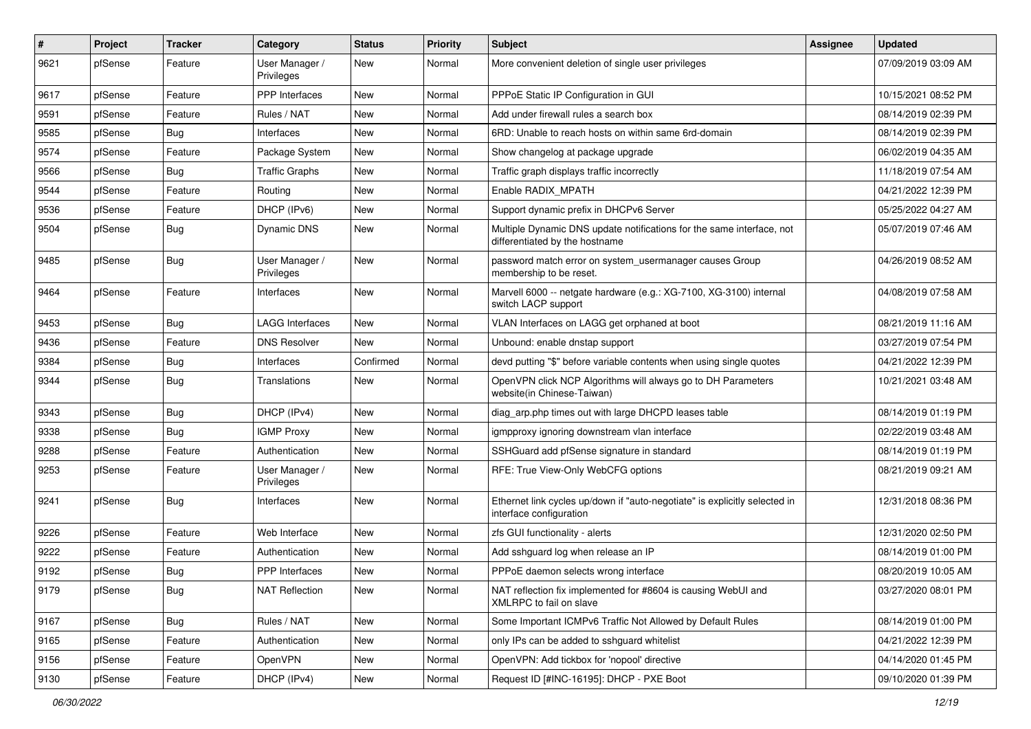| $\vert$ # | Project | <b>Tracker</b> | Category                     | <b>Status</b> | <b>Priority</b> | <b>Subject</b>                                                                                          | <b>Assignee</b> | <b>Updated</b>      |
|-----------|---------|----------------|------------------------------|---------------|-----------------|---------------------------------------------------------------------------------------------------------|-----------------|---------------------|
| 9621      | pfSense | Feature        | User Manager /<br>Privileges | New           | Normal          | More convenient deletion of single user privileges                                                      |                 | 07/09/2019 03:09 AM |
| 9617      | pfSense | Feature        | PPP Interfaces               | <b>New</b>    | Normal          | PPPoE Static IP Configuration in GUI                                                                    |                 | 10/15/2021 08:52 PM |
| 9591      | pfSense | Feature        | Rules / NAT                  | New           | Normal          | Add under firewall rules a search box                                                                   |                 | 08/14/2019 02:39 PM |
| 9585      | pfSense | <b>Bug</b>     | Interfaces                   | <b>New</b>    | Normal          | 6RD: Unable to reach hosts on within same 6rd-domain                                                    |                 | 08/14/2019 02:39 PM |
| 9574      | pfSense | Feature        | Package System               | New           | Normal          | Show changelog at package upgrade                                                                       |                 | 06/02/2019 04:35 AM |
| 9566      | pfSense | <b>Bug</b>     | <b>Traffic Graphs</b>        | New           | Normal          | Traffic graph displays traffic incorrectly                                                              |                 | 11/18/2019 07:54 AM |
| 9544      | pfSense | Feature        | Routing                      | New           | Normal          | Enable RADIX MPATH                                                                                      |                 | 04/21/2022 12:39 PM |
| 9536      | pfSense | Feature        | DHCP (IPv6)                  | <b>New</b>    | Normal          | Support dynamic prefix in DHCPv6 Server                                                                 |                 | 05/25/2022 04:27 AM |
| 9504      | pfSense | <b>Bug</b>     | <b>Dynamic DNS</b>           | New           | Normal          | Multiple Dynamic DNS update notifications for the same interface, not<br>differentiated by the hostname |                 | 05/07/2019 07:46 AM |
| 9485      | pfSense | Bug            | User Manager /<br>Privileges | <b>New</b>    | Normal          | password match error on system_usermanager causes Group<br>membership to be reset.                      |                 | 04/26/2019 08:52 AM |
| 9464      | pfSense | Feature        | Interfaces                   | <b>New</b>    | Normal          | Marvell 6000 -- netgate hardware (e.g.: XG-7100, XG-3100) internal<br>switch LACP support               |                 | 04/08/2019 07:58 AM |
| 9453      | pfSense | <b>Bug</b>     | <b>LAGG Interfaces</b>       | <b>New</b>    | Normal          | VLAN Interfaces on LAGG get orphaned at boot                                                            |                 | 08/21/2019 11:16 AM |
| 9436      | pfSense | Feature        | <b>DNS Resolver</b>          | New           | Normal          | Unbound: enable dnstap support                                                                          |                 | 03/27/2019 07:54 PM |
| 9384      | pfSense | <b>Bug</b>     | Interfaces                   | Confirmed     | Normal          | devd putting "\$" before variable contents when using single quotes                                     |                 | 04/21/2022 12:39 PM |
| 9344      | pfSense | <b>Bug</b>     | Translations                 | New           | Normal          | OpenVPN click NCP Algorithms will always go to DH Parameters<br>website(in Chinese-Taiwan)              |                 | 10/21/2021 03:48 AM |
| 9343      | pfSense | <b>Bug</b>     | DHCP (IPv4)                  | <b>New</b>    | Normal          | diag_arp.php times out with large DHCPD leases table                                                    |                 | 08/14/2019 01:19 PM |
| 9338      | pfSense | <b>Bug</b>     | <b>IGMP Proxy</b>            | New           | Normal          | igmpproxy ignoring downstream vlan interface                                                            |                 | 02/22/2019 03:48 AM |
| 9288      | pfSense | Feature        | Authentication               | New           | Normal          | SSHGuard add pfSense signature in standard                                                              |                 | 08/14/2019 01:19 PM |
| 9253      | pfSense | Feature        | User Manager /<br>Privileges | <b>New</b>    | Normal          | RFE: True View-Only WebCFG options                                                                      |                 | 08/21/2019 09:21 AM |
| 9241      | pfSense | <b>Bug</b>     | Interfaces                   | <b>New</b>    | Normal          | Ethernet link cycles up/down if "auto-negotiate" is explicitly selected in<br>interface configuration   |                 | 12/31/2018 08:36 PM |
| 9226      | pfSense | Feature        | Web Interface                | <b>New</b>    | Normal          | zfs GUI functionality - alerts                                                                          |                 | 12/31/2020 02:50 PM |
| 9222      | pfSense | Feature        | Authentication               | New           | Normal          | Add sshguard log when release an IP                                                                     |                 | 08/14/2019 01:00 PM |
| 9192      | pfSense | <b>Bug</b>     | <b>PPP</b> Interfaces        | New           | Normal          | PPPoE daemon selects wrong interface                                                                    |                 | 08/20/2019 10:05 AM |
| 9179      | pfSense | Bug            | <b>NAT Reflection</b>        | New           | Normal          | NAT reflection fix implemented for #8604 is causing WebUI and<br>XMLRPC to fail on slave                |                 | 03/27/2020 08:01 PM |
| 9167      | pfSense | Bug            | Rules / NAT                  | New           | Normal          | Some Important ICMPv6 Traffic Not Allowed by Default Rules                                              |                 | 08/14/2019 01:00 PM |
| 9165      | pfSense | Feature        | Authentication               | New           | Normal          | only IPs can be added to sshguard whitelist                                                             |                 | 04/21/2022 12:39 PM |
| 9156      | pfSense | Feature        | OpenVPN                      | New           | Normal          | OpenVPN: Add tickbox for 'nopool' directive                                                             |                 | 04/14/2020 01:45 PM |
| 9130      | pfSense | Feature        | DHCP (IPv4)                  | New           | Normal          | Request ID [#INC-16195]: DHCP - PXE Boot                                                                |                 | 09/10/2020 01:39 PM |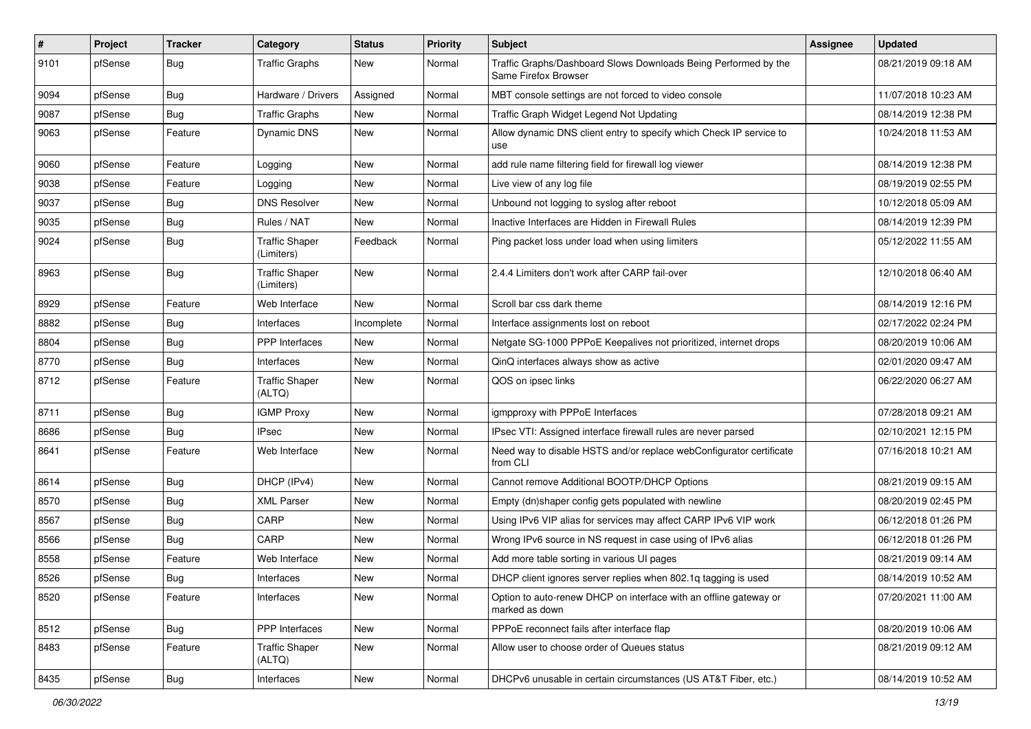| $\pmb{\#}$ | Project | <b>Tracker</b> | Category                            | <b>Status</b> | <b>Priority</b> | <b>Subject</b>                                                                          | <b>Assignee</b> | <b>Updated</b>      |
|------------|---------|----------------|-------------------------------------|---------------|-----------------|-----------------------------------------------------------------------------------------|-----------------|---------------------|
| 9101       | pfSense | <b>Bug</b>     | <b>Traffic Graphs</b>               | New           | Normal          | Traffic Graphs/Dashboard Slows Downloads Being Performed by the<br>Same Firefox Browser |                 | 08/21/2019 09:18 AM |
| 9094       | pfSense | <b>Bug</b>     | Hardware / Drivers                  | Assigned      | Normal          | MBT console settings are not forced to video console                                    |                 | 11/07/2018 10:23 AM |
| 9087       | pfSense | <b>Bug</b>     | <b>Traffic Graphs</b>               | New           | Normal          | Traffic Graph Widget Legend Not Updating                                                |                 | 08/14/2019 12:38 PM |
| 9063       | pfSense | Feature        | Dynamic DNS                         | New           | Normal          | Allow dynamic DNS client entry to specify which Check IP service to<br>use              |                 | 10/24/2018 11:53 AM |
| 9060       | pfSense | Feature        | Logging                             | New           | Normal          | add rule name filtering field for firewall log viewer                                   |                 | 08/14/2019 12:38 PM |
| 9038       | pfSense | Feature        | Logging                             | New           | Normal          | Live view of any log file                                                               |                 | 08/19/2019 02:55 PM |
| 9037       | pfSense | Bug            | <b>DNS Resolver</b>                 | New           | Normal          | Unbound not logging to syslog after reboot                                              |                 | 10/12/2018 05:09 AM |
| 9035       | pfSense | Bug            | Rules / NAT                         | <b>New</b>    | Normal          | Inactive Interfaces are Hidden in Firewall Rules                                        |                 | 08/14/2019 12:39 PM |
| 9024       | pfSense | <b>Bug</b>     | <b>Traffic Shaper</b><br>(Limiters) | Feedback      | Normal          | Ping packet loss under load when using limiters                                         |                 | 05/12/2022 11:55 AM |
| 8963       | pfSense | <b>Bug</b>     | <b>Traffic Shaper</b><br>(Limiters) | New           | Normal          | 2.4.4 Limiters don't work after CARP fail-over                                          |                 | 12/10/2018 06:40 AM |
| 8929       | pfSense | Feature        | Web Interface                       | New           | Normal          | Scroll bar css dark theme                                                               |                 | 08/14/2019 12:16 PM |
| 8882       | pfSense | Bug            | Interfaces                          | Incomplete    | Normal          | Interface assignments lost on reboot                                                    |                 | 02/17/2022 02:24 PM |
| 8804       | pfSense | <b>Bug</b>     | PPP Interfaces                      | New           | Normal          | Netgate SG-1000 PPPoE Keepalives not prioritized, internet drops                        |                 | 08/20/2019 10:06 AM |
| 8770       | pfSense | <b>Bug</b>     | Interfaces                          | New           | Normal          | QinQ interfaces always show as active                                                   |                 | 02/01/2020 09:47 AM |
| 8712       | pfSense | Feature        | <b>Traffic Shaper</b><br>(ALTQ)     | New           | Normal          | QOS on ipsec links                                                                      |                 | 06/22/2020 06:27 AM |
| 8711       | pfSense | Bug            | <b>IGMP Proxy</b>                   | New           | Normal          | igmpproxy with PPPoE Interfaces                                                         |                 | 07/28/2018 09:21 AM |
| 8686       | pfSense | <b>Bug</b>     | <b>IPsec</b>                        | New           | Normal          | IPsec VTI: Assigned interface firewall rules are never parsed                           |                 | 02/10/2021 12:15 PM |
| 8641       | pfSense | Feature        | Web Interface                       | New           | Normal          | Need way to disable HSTS and/or replace webConfigurator certificate<br>from CLI         |                 | 07/16/2018 10:21 AM |
| 8614       | pfSense | Bug            | DHCP (IPv4)                         | New           | Normal          | Cannot remove Additional BOOTP/DHCP Options                                             |                 | 08/21/2019 09:15 AM |
| 8570       | pfSense | Bug            | <b>XML Parser</b>                   | New           | Normal          | Empty (dn)shaper config gets populated with newline                                     |                 | 08/20/2019 02:45 PM |
| 8567       | pfSense | <b>Bug</b>     | CARP                                | New           | Normal          | Using IPv6 VIP alias for services may affect CARP IPv6 VIP work                         |                 | 06/12/2018 01:26 PM |
| 8566       | pfSense | <b>Bug</b>     | CARP                                | <b>New</b>    | Normal          | Wrong IPv6 source in NS request in case using of IPv6 alias                             |                 | 06/12/2018 01:26 PM |
| 8558       | pfSense | Feature        | Web Interface                       | New           | Normal          | Add more table sorting in various UI pages                                              |                 | 08/21/2019 09:14 AM |
| 8526       | pfSense | <b>Bug</b>     | Interfaces                          | New           | Normal          | DHCP client ignores server replies when 802.1q tagging is used                          |                 | 08/14/2019 10:52 AM |
| 8520       | pfSense | Feature        | Interfaces                          | New           | Normal          | Option to auto-renew DHCP on interface with an offline gateway or<br>marked as down     |                 | 07/20/2021 11:00 AM |
| 8512       | pfSense | <b>Bug</b>     | PPP Interfaces                      | New           | Normal          | PPPoE reconnect fails after interface flap                                              |                 | 08/20/2019 10:06 AM |
| 8483       | pfSense | Feature        | <b>Traffic Shaper</b><br>(ALTQ)     | New           | Normal          | Allow user to choose order of Queues status                                             |                 | 08/21/2019 09:12 AM |
| 8435       | pfSense | Bug            | Interfaces                          | New           | Normal          | DHCPv6 unusable in certain circumstances (US AT&T Fiber, etc.)                          |                 | 08/14/2019 10:52 AM |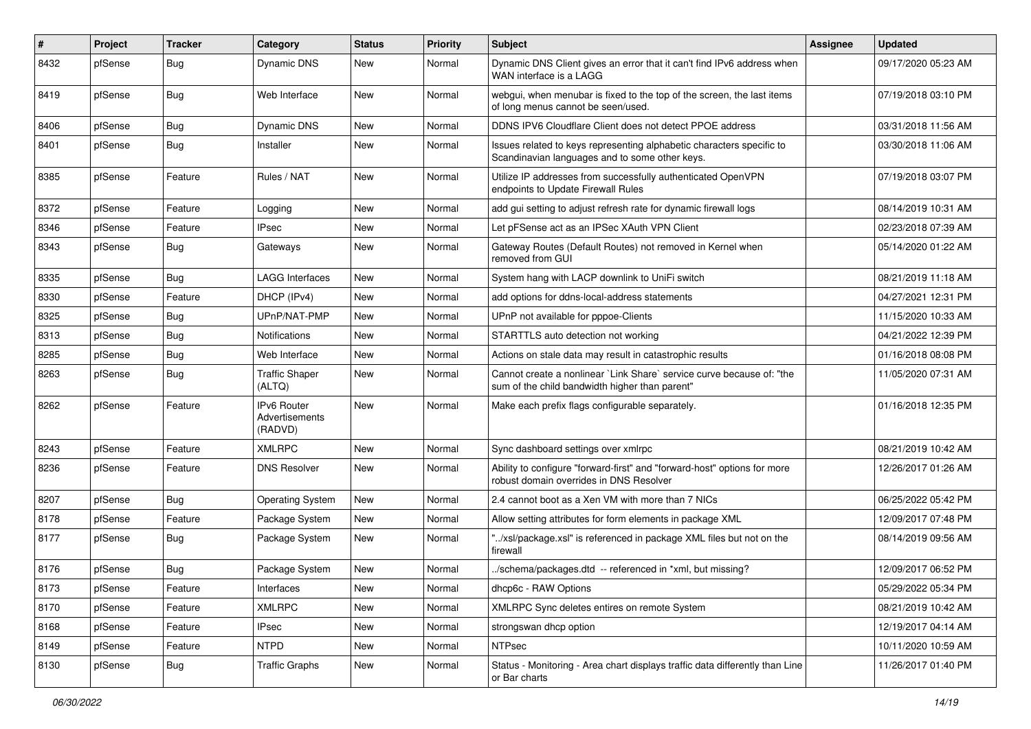| #    | Project | <b>Tracker</b> | Category                                        | <b>Status</b> | <b>Priority</b> | <b>Subject</b>                                                                                                          | Assignee | <b>Updated</b>      |
|------|---------|----------------|-------------------------------------------------|---------------|-----------------|-------------------------------------------------------------------------------------------------------------------------|----------|---------------------|
| 8432 | pfSense | <b>Bug</b>     | <b>Dynamic DNS</b>                              | New           | Normal          | Dynamic DNS Client gives an error that it can't find IPv6 address when<br>WAN interface is a LAGG                       |          | 09/17/2020 05:23 AM |
| 8419 | pfSense | <b>Bug</b>     | Web Interface                                   | <b>New</b>    | Normal          | webgui, when menubar is fixed to the top of the screen, the last items<br>of long menus cannot be seen/used.            |          | 07/19/2018 03:10 PM |
| 8406 | pfSense | Bug            | <b>Dynamic DNS</b>                              | <b>New</b>    | Normal          | DDNS IPV6 Cloudflare Client does not detect PPOE address                                                                |          | 03/31/2018 11:56 AM |
| 8401 | pfSense | <b>Bug</b>     | Installer                                       | <b>New</b>    | Normal          | Issues related to keys representing alphabetic characters specific to<br>Scandinavian languages and to some other keys. |          | 03/30/2018 11:06 AM |
| 8385 | pfSense | Feature        | Rules / NAT                                     | <b>New</b>    | Normal          | Utilize IP addresses from successfully authenticated OpenVPN<br>endpoints to Update Firewall Rules                      |          | 07/19/2018 03:07 PM |
| 8372 | pfSense | Feature        | Logging                                         | <b>New</b>    | Normal          | add gui setting to adjust refresh rate for dynamic firewall logs                                                        |          | 08/14/2019 10:31 AM |
| 8346 | pfSense | Feature        | <b>IPsec</b>                                    | <b>New</b>    | Normal          | Let pFSense act as an IPSec XAuth VPN Client                                                                            |          | 02/23/2018 07:39 AM |
| 8343 | pfSense | Bug            | Gateways                                        | New           | Normal          | Gateway Routes (Default Routes) not removed in Kernel when<br>removed from GUI                                          |          | 05/14/2020 01:22 AM |
| 8335 | pfSense | <b>Bug</b>     | <b>LAGG Interfaces</b>                          | <b>New</b>    | Normal          | System hang with LACP downlink to UniFi switch                                                                          |          | 08/21/2019 11:18 AM |
| 8330 | pfSense | Feature        | DHCP (IPv4)                                     | <b>New</b>    | Normal          | add options for ddns-local-address statements                                                                           |          | 04/27/2021 12:31 PM |
| 8325 | pfSense | <b>Bug</b>     | UPnP/NAT-PMP                                    | <b>New</b>    | Normal          | UPnP not available for pppoe-Clients                                                                                    |          | 11/15/2020 10:33 AM |
| 8313 | pfSense | <b>Bug</b>     | <b>Notifications</b>                            | New           | Normal          | STARTTLS auto detection not working                                                                                     |          | 04/21/2022 12:39 PM |
| 8285 | pfSense | <b>Bug</b>     | Web Interface                                   | <b>New</b>    | Normal          | Actions on stale data may result in catastrophic results                                                                |          | 01/16/2018 08:08 PM |
| 8263 | pfSense | Bug            | <b>Traffic Shaper</b><br>(ALTQ)                 | New           | Normal          | Cannot create a nonlinear `Link Share` service curve because of: "the<br>sum of the child bandwidth higher than parent" |          | 11/05/2020 07:31 AM |
| 8262 | pfSense | Feature        | <b>IPv6 Router</b><br>Advertisements<br>(RADVD) | <b>New</b>    | Normal          | Make each prefix flags configurable separately.                                                                         |          | 01/16/2018 12:35 PM |
| 8243 | pfSense | Feature        | <b>XMLRPC</b>                                   | <b>New</b>    | Normal          | Sync dashboard settings over xmlrpc                                                                                     |          | 08/21/2019 10:42 AM |
| 8236 | pfSense | Feature        | <b>DNS Resolver</b>                             | New           | Normal          | Ability to configure "forward-first" and "forward-host" options for more<br>robust domain overrides in DNS Resolver     |          | 12/26/2017 01:26 AM |
| 8207 | pfSense | <b>Bug</b>     | <b>Operating System</b>                         | <b>New</b>    | Normal          | 2.4 cannot boot as a Xen VM with more than 7 NICs                                                                       |          | 06/25/2022 05:42 PM |
| 8178 | pfSense | Feature        | Package System                                  | <b>New</b>    | Normal          | Allow setting attributes for form elements in package XML                                                               |          | 12/09/2017 07:48 PM |
| 8177 | pfSense | <b>Bug</b>     | Package System                                  | New           | Normal          | "/xsl/package.xsl" is referenced in package XML files but not on the<br>firewall                                        |          | 08/14/2019 09:56 AM |
| 8176 | pfSense | Bug            | Package System                                  | <b>New</b>    | Normal          | ./schema/packages.dtd -- referenced in *xml, but missing?                                                               |          | 12/09/2017 06:52 PM |
| 8173 | pfSense | Feature        | Interfaces                                      | New           | Normal          | dhcp6c - RAW Options                                                                                                    |          | 05/29/2022 05:34 PM |
| 8170 | pfSense | Feature        | <b>XMLRPC</b>                                   | New           | Normal          | XMLRPC Sync deletes entires on remote System                                                                            |          | 08/21/2019 10:42 AM |
| 8168 | pfSense | Feature        | <b>IPsec</b>                                    | New           | Normal          | strongswan dhcp option                                                                                                  |          | 12/19/2017 04:14 AM |
| 8149 | pfSense | Feature        | <b>NTPD</b>                                     | New           | Normal          | <b>NTPsec</b>                                                                                                           |          | 10/11/2020 10:59 AM |
| 8130 | pfSense | Bug            | <b>Traffic Graphs</b>                           | New           | Normal          | Status - Monitoring - Area chart displays traffic data differently than Line<br>or Bar charts                           |          | 11/26/2017 01:40 PM |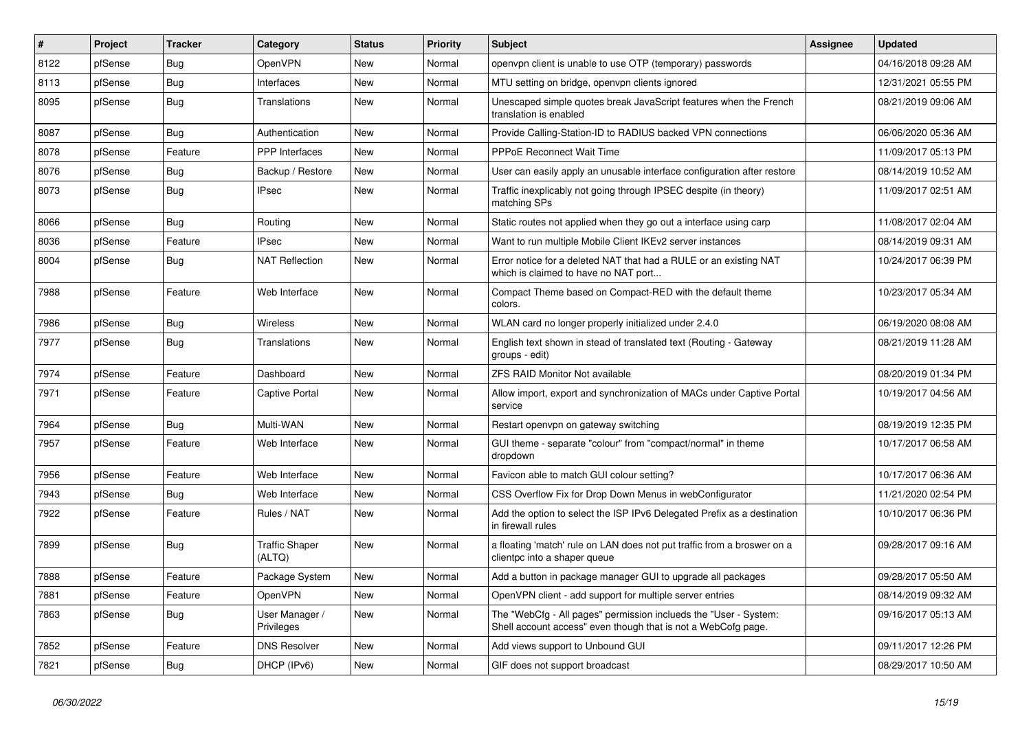| $\vert$ # | Project | <b>Tracker</b> | Category                        | <b>Status</b> | <b>Priority</b> | Subject                                                                                                                           | Assignee | <b>Updated</b>      |
|-----------|---------|----------------|---------------------------------|---------------|-----------------|-----------------------------------------------------------------------------------------------------------------------------------|----------|---------------------|
| 8122      | pfSense | Bug            | OpenVPN                         | New           | Normal          | openvpn client is unable to use OTP (temporary) passwords                                                                         |          | 04/16/2018 09:28 AM |
| 8113      | pfSense | <b>Bug</b>     | Interfaces                      | <b>New</b>    | Normal          | MTU setting on bridge, openvpn clients ignored                                                                                    |          | 12/31/2021 05:55 PM |
| 8095      | pfSense | Bug            | Translations                    | New           | Normal          | Unescaped simple quotes break JavaScript features when the French<br>translation is enabled                                       |          | 08/21/2019 09:06 AM |
| 8087      | pfSense | <b>Bug</b>     | Authentication                  | <b>New</b>    | Normal          | Provide Calling-Station-ID to RADIUS backed VPN connections                                                                       |          | 06/06/2020 05:36 AM |
| 8078      | pfSense | Feature        | <b>PPP</b> Interfaces           | New           | Normal          | <b>PPPoE Reconnect Wait Time</b>                                                                                                  |          | 11/09/2017 05:13 PM |
| 8076      | pfSense | <b>Bug</b>     | Backup / Restore                | New           | Normal          | User can easily apply an unusable interface configuration after restore                                                           |          | 08/14/2019 10:52 AM |
| 8073      | pfSense | <b>Bug</b>     | <b>IPsec</b>                    | New           | Normal          | Traffic inexplicably not going through IPSEC despite (in theory)<br>matching SPs                                                  |          | 11/09/2017 02:51 AM |
| 8066      | pfSense | <b>Bug</b>     | Routing                         | <b>New</b>    | Normal          | Static routes not applied when they go out a interface using carp                                                                 |          | 11/08/2017 02:04 AM |
| 8036      | pfSense | Feature        | <b>IPsec</b>                    | New           | Normal          | Want to run multiple Mobile Client IKEv2 server instances                                                                         |          | 08/14/2019 09:31 AM |
| 8004      | pfSense | Bug            | <b>NAT Reflection</b>           | New           | Normal          | Error notice for a deleted NAT that had a RULE or an existing NAT<br>which is claimed to have no NAT port                         |          | 10/24/2017 06:39 PM |
| 7988      | pfSense | Feature        | Web Interface                   | <b>New</b>    | Normal          | Compact Theme based on Compact-RED with the default theme<br>colors.                                                              |          | 10/23/2017 05:34 AM |
| 7986      | pfSense | <b>Bug</b>     | Wireless                        | <b>New</b>    | Normal          | WLAN card no longer properly initialized under 2.4.0                                                                              |          | 06/19/2020 08:08 AM |
| 7977      | pfSense | <b>Bug</b>     | Translations                    | New           | Normal          | English text shown in stead of translated text (Routing - Gateway<br>groups - edit)                                               |          | 08/21/2019 11:28 AM |
| 7974      | pfSense | Feature        | Dashboard                       | <b>New</b>    | Normal          | ZFS RAID Monitor Not available                                                                                                    |          | 08/20/2019 01:34 PM |
| 7971      | pfSense | Feature        | <b>Captive Portal</b>           | New           | Normal          | Allow import, export and synchronization of MACs under Captive Portal<br>service                                                  |          | 10/19/2017 04:56 AM |
| 7964      | pfSense | Bug            | Multi-WAN                       | <b>New</b>    | Normal          | Restart openvpn on gateway switching                                                                                              |          | 08/19/2019 12:35 PM |
| 7957      | pfSense | Feature        | Web Interface                   | New           | Normal          | GUI theme - separate "colour" from "compact/normal" in theme<br>dropdown                                                          |          | 10/17/2017 06:58 AM |
| 7956      | pfSense | Feature        | Web Interface                   | <b>New</b>    | Normal          | Favicon able to match GUI colour setting?                                                                                         |          | 10/17/2017 06:36 AM |
| 7943      | pfSense | <b>Bug</b>     | Web Interface                   | New           | Normal          | CSS Overflow Fix for Drop Down Menus in webConfigurator                                                                           |          | 11/21/2020 02:54 PM |
| 7922      | pfSense | Feature        | Rules / NAT                     | New           | Normal          | Add the option to select the ISP IPv6 Delegated Prefix as a destination<br>in firewall rules                                      |          | 10/10/2017 06:36 PM |
| 7899      | pfSense | <b>Bug</b>     | <b>Traffic Shaper</b><br>(ALTQ) | <b>New</b>    | Normal          | a floating 'match' rule on LAN does not put traffic from a broswer on a<br>clientpc into a shaper queue                           |          | 09/28/2017 09:16 AM |
| 7888      | pfSense | Feature        | Package System                  | New           | Normal          | Add a button in package manager GUI to upgrade all packages                                                                       |          | 09/28/2017 05:50 AM |
| 7881      | pfSense | Feature        | OpenVPN                         | <b>New</b>    | Normal          | OpenVPN client - add support for multiple server entries                                                                          |          | 08/14/2019 09:32 AM |
| 7863      | pfSense | <b>Bug</b>     | User Manager /<br>Privileges    | New           | Normal          | The "WebCfg - All pages" permission inclueds the "User - System:<br>Shell account access" even though that is not a WebCofg page. |          | 09/16/2017 05:13 AM |
| 7852      | pfSense | Feature        | <b>DNS Resolver</b>             | <b>New</b>    | Normal          | Add views support to Unbound GUI                                                                                                  |          | 09/11/2017 12:26 PM |
| 7821      | pfSense | Bug            | DHCP (IPv6)                     | New           | Normal          | GIF does not support broadcast                                                                                                    |          | 08/29/2017 10:50 AM |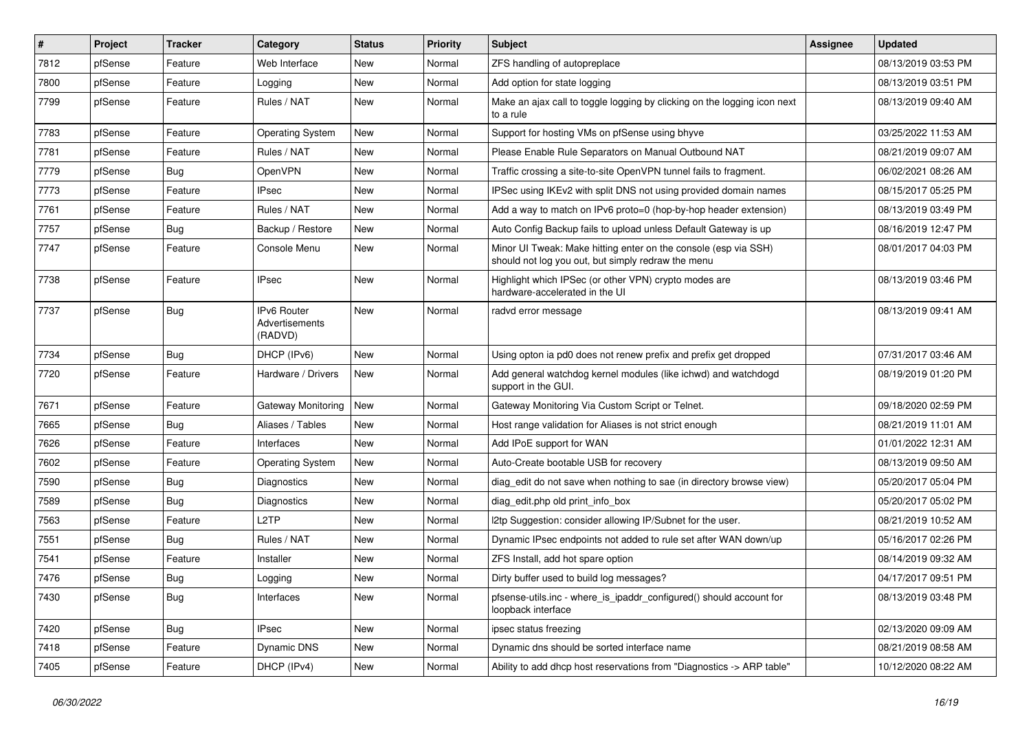| $\vert$ # | Project | <b>Tracker</b> | Category                                 | <b>Status</b> | <b>Priority</b> | Subject                                                                                                               | Assignee | <b>Updated</b>      |
|-----------|---------|----------------|------------------------------------------|---------------|-----------------|-----------------------------------------------------------------------------------------------------------------------|----------|---------------------|
| 7812      | pfSense | Feature        | Web Interface                            | New           | Normal          | ZFS handling of autopreplace                                                                                          |          | 08/13/2019 03:53 PM |
| 7800      | pfSense | Feature        | Logging                                  | <b>New</b>    | Normal          | Add option for state logging                                                                                          |          | 08/13/2019 03:51 PM |
| 7799      | pfSense | Feature        | Rules / NAT                              | New           | Normal          | Make an ajax call to toggle logging by clicking on the logging icon next<br>to a rule                                 |          | 08/13/2019 09:40 AM |
| 7783      | pfSense | Feature        | <b>Operating System</b>                  | <b>New</b>    | Normal          | Support for hosting VMs on pfSense using bhyve                                                                        |          | 03/25/2022 11:53 AM |
| 7781      | pfSense | Feature        | Rules / NAT                              | New           | Normal          | Please Enable Rule Separators on Manual Outbound NAT                                                                  |          | 08/21/2019 09:07 AM |
| 7779      | pfSense | <b>Bug</b>     | OpenVPN                                  | New           | Normal          | Traffic crossing a site-to-site OpenVPN tunnel fails to fragment.                                                     |          | 06/02/2021 08:26 AM |
| 7773      | pfSense | Feature        | <b>IPsec</b>                             | <b>New</b>    | Normal          | IPSec using IKEv2 with split DNS not using provided domain names                                                      |          | 08/15/2017 05:25 PM |
| 7761      | pfSense | Feature        | Rules / NAT                              | New           | Normal          | Add a way to match on IPv6 proto=0 (hop-by-hop header extension)                                                      |          | 08/13/2019 03:49 PM |
| 7757      | pfSense | <b>Bug</b>     | Backup / Restore                         | New           | Normal          | Auto Config Backup fails to upload unless Default Gateway is up                                                       |          | 08/16/2019 12:47 PM |
| 7747      | pfSense | Feature        | Console Menu                             | New           | Normal          | Minor UI Tweak: Make hitting enter on the console (esp via SSH)<br>should not log you out, but simply redraw the menu |          | 08/01/2017 04:03 PM |
| 7738      | pfSense | Feature        | <b>IPsec</b>                             | <b>New</b>    | Normal          | Highlight which IPSec (or other VPN) crypto modes are<br>hardware-accelerated in the UI                               |          | 08/13/2019 03:46 PM |
| 7737      | pfSense | <b>Bug</b>     | IPv6 Router<br>Advertisements<br>(RADVD) | New           | Normal          | radvd error message                                                                                                   |          | 08/13/2019 09:41 AM |
| 7734      | pfSense | Bug            | DHCP (IPv6)                              | <b>New</b>    | Normal          | Using opton ia pd0 does not renew prefix and prefix get dropped                                                       |          | 07/31/2017 03:46 AM |
| 7720      | pfSense | Feature        | Hardware / Drivers                       | <b>New</b>    | Normal          | Add general watchdog kernel modules (like ichwd) and watchdogd<br>support in the GUI.                                 |          | 08/19/2019 01:20 PM |
| 7671      | pfSense | Feature        | <b>Gateway Monitoring</b>                | <b>New</b>    | Normal          | Gateway Monitoring Via Custom Script or Telnet.                                                                       |          | 09/18/2020 02:59 PM |
| 7665      | pfSense | Bug            | Aliases / Tables                         | New           | Normal          | Host range validation for Aliases is not strict enough                                                                |          | 08/21/2019 11:01 AM |
| 7626      | pfSense | Feature        | Interfaces                               | <b>New</b>    | Normal          | Add IPoE support for WAN                                                                                              |          | 01/01/2022 12:31 AM |
| 7602      | pfSense | Feature        | <b>Operating System</b>                  | <b>New</b>    | Normal          | Auto-Create bootable USB for recovery                                                                                 |          | 08/13/2019 09:50 AM |
| 7590      | pfSense | <b>Bug</b>     | Diagnostics                              | New           | Normal          | diag edit do not save when nothing to sae (in directory browse view)                                                  |          | 05/20/2017 05:04 PM |
| 7589      | pfSense | <b>Bug</b>     | Diagnostics                              | <b>New</b>    | Normal          | diag edit.php old print info box                                                                                      |          | 05/20/2017 05:02 PM |
| 7563      | pfSense | Feature        | L <sub>2</sub> TP                        | New           | Normal          | 2tp Suggestion: consider allowing IP/Subnet for the user.                                                             |          | 08/21/2019 10:52 AM |
| 7551      | pfSense | <b>Bug</b>     | Rules / NAT                              | New           | Normal          | Dynamic IPsec endpoints not added to rule set after WAN down/up                                                       |          | 05/16/2017 02:26 PM |
| 7541      | pfSense | Feature        | Installer                                | <b>New</b>    | Normal          | ZFS Install, add hot spare option                                                                                     |          | 08/14/2019 09:32 AM |
| 7476      | pfSense | Bug            | Logging                                  | New           | Normal          | Dirty buffer used to build log messages?                                                                              |          | 04/17/2017 09:51 PM |
| 7430      | pfSense | Bug            | Interfaces                               | New           | Normal          | pfsense-utils.inc - where_is_ipaddr_configured() should account for<br>loopback interface                             |          | 08/13/2019 03:48 PM |
| 7420      | pfSense | <b>Bug</b>     | <b>IPsec</b>                             | New           | Normal          | ipsec status freezing                                                                                                 |          | 02/13/2020 09:09 AM |
| 7418      | pfSense | Feature        | Dynamic DNS                              | New           | Normal          | Dynamic dns should be sorted interface name                                                                           |          | 08/21/2019 08:58 AM |
| 7405      | pfSense | Feature        | DHCP (IPv4)                              | New           | Normal          | Ability to add dhcp host reservations from "Diagnostics -> ARP table"                                                 |          | 10/12/2020 08:22 AM |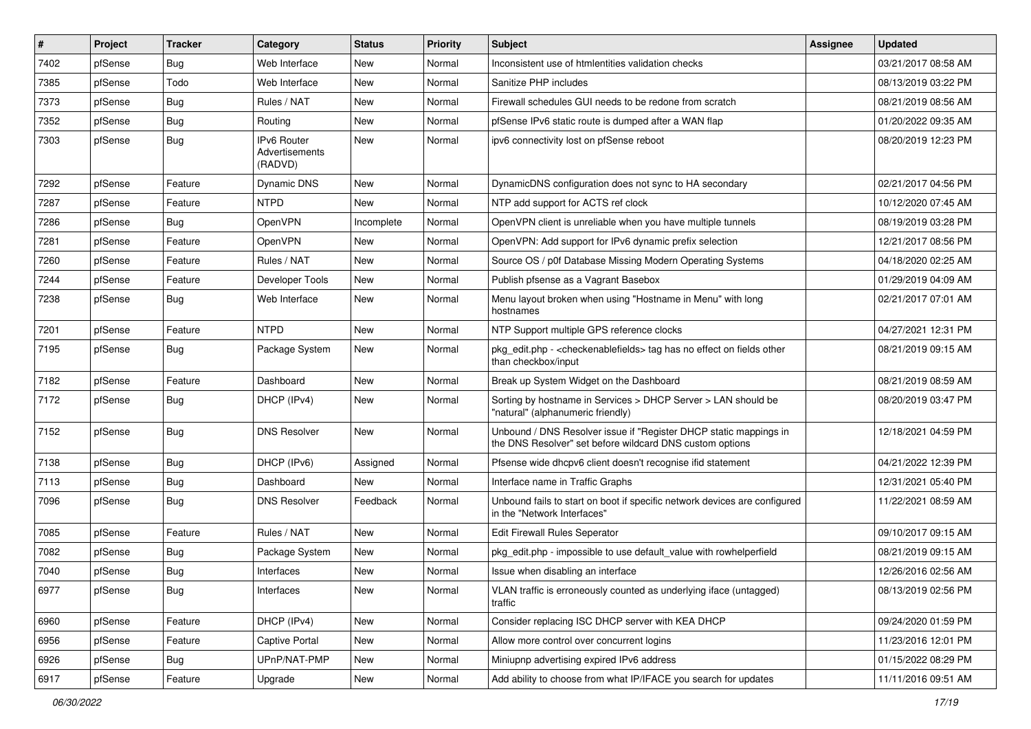| $\pmb{\sharp}$ | Project | <b>Tracker</b> | Category                                 | <b>Status</b> | <b>Priority</b> | Subject                                                                                                                       | <b>Assignee</b> | <b>Updated</b>      |
|----------------|---------|----------------|------------------------------------------|---------------|-----------------|-------------------------------------------------------------------------------------------------------------------------------|-----------------|---------------------|
| 7402           | pfSense | <b>Bug</b>     | Web Interface                            | New           | Normal          | Inconsistent use of htmlentities validation checks                                                                            |                 | 03/21/2017 08:58 AM |
| 7385           | pfSense | Todo           | Web Interface                            | New           | Normal          | Sanitize PHP includes                                                                                                         |                 | 08/13/2019 03:22 PM |
| 7373           | pfSense | <b>Bug</b>     | Rules / NAT                              | New           | Normal          | Firewall schedules GUI needs to be redone from scratch                                                                        |                 | 08/21/2019 08:56 AM |
| 7352           | pfSense | <b>Bug</b>     | Routing                                  | New           | Normal          | pfSense IPv6 static route is dumped after a WAN flap                                                                          |                 | 01/20/2022 09:35 AM |
| 7303           | pfSense | Bug            | IPv6 Router<br>Advertisements<br>(RADVD) | New           | Normal          | ipv6 connectivity lost on pfSense reboot                                                                                      |                 | 08/20/2019 12:23 PM |
| 7292           | pfSense | Feature        | <b>Dynamic DNS</b>                       | <b>New</b>    | Normal          | DynamicDNS configuration does not sync to HA secondary                                                                        |                 | 02/21/2017 04:56 PM |
| 7287           | pfSense | Feature        | <b>NTPD</b>                              | New           | Normal          | NTP add support for ACTS ref clock                                                                                            |                 | 10/12/2020 07:45 AM |
| 7286           | pfSense | <b>Bug</b>     | OpenVPN                                  | Incomplete    | Normal          | OpenVPN client is unreliable when you have multiple tunnels                                                                   |                 | 08/19/2019 03:28 PM |
| 7281           | pfSense | Feature        | <b>OpenVPN</b>                           | New           | Normal          | OpenVPN: Add support for IPv6 dynamic prefix selection                                                                        |                 | 12/21/2017 08:56 PM |
| 7260           | pfSense | Feature        | Rules / NAT                              | New           | Normal          | Source OS / p0f Database Missing Modern Operating Systems                                                                     |                 | 04/18/2020 02:25 AM |
| 7244           | pfSense | Feature        | Developer Tools                          | <b>New</b>    | Normal          | Publish pfsense as a Vagrant Basebox                                                                                          |                 | 01/29/2019 04:09 AM |
| 7238           | pfSense | <b>Bug</b>     | Web Interface                            | New           | Normal          | Menu layout broken when using "Hostname in Menu" with long<br>hostnames                                                       |                 | 02/21/2017 07:01 AM |
| 7201           | pfSense | Feature        | <b>NTPD</b>                              | <b>New</b>    | Normal          | NTP Support multiple GPS reference clocks                                                                                     |                 | 04/27/2021 12:31 PM |
| 7195           | pfSense | Bug            | Package System                           | New           | Normal          | pkg_edit.php - <checkenablefields> tag has no effect on fields other<br/>than checkbox/input</checkenablefields>              |                 | 08/21/2019 09:15 AM |
| 7182           | pfSense | Feature        | Dashboard                                | <b>New</b>    | Normal          | Break up System Widget on the Dashboard                                                                                       |                 | 08/21/2019 08:59 AM |
| 7172           | pfSense | Bug            | DHCP (IPv4)                              | New           | Normal          | Sorting by hostname in Services > DHCP Server > LAN should be<br>"natural" (alphanumeric friendly)                            |                 | 08/20/2019 03:47 PM |
| 7152           | pfSense | Bug            | <b>DNS Resolver</b>                      | New           | Normal          | Unbound / DNS Resolver issue if "Register DHCP static mappings in<br>the DNS Resolver" set before wildcard DNS custom options |                 | 12/18/2021 04:59 PM |
| 7138           | pfSense | Bug            | DHCP (IPv6)                              | Assigned      | Normal          | Pfsense wide dhcpv6 client doesn't recognise if id statement                                                                  |                 | 04/21/2022 12:39 PM |
| 7113           | pfSense | <b>Bug</b>     | Dashboard                                | New           | Normal          | Interface name in Traffic Graphs                                                                                              |                 | 12/31/2021 05:40 PM |
| 7096           | pfSense | <b>Bug</b>     | <b>DNS Resolver</b>                      | Feedback      | Normal          | Unbound fails to start on boot if specific network devices are configured<br>in the "Network Interfaces"                      |                 | 11/22/2021 08:59 AM |
| 7085           | pfSense | Feature        | Rules / NAT                              | <b>New</b>    | Normal          | <b>Edit Firewall Rules Seperator</b>                                                                                          |                 | 09/10/2017 09:15 AM |
| 7082           | pfSense | Bug            | Package System                           | New           | Normal          | pkg edit.php - impossible to use default value with rowhelperfield                                                            |                 | 08/21/2019 09:15 AM |
| 7040           | pfSense | <b>Bug</b>     | Interfaces                               | New           | Normal          | Issue when disabling an interface                                                                                             |                 | 12/26/2016 02:56 AM |
| 6977           | pfSense | <b>Bug</b>     | Interfaces                               | New           | Normal          | VLAN traffic is erroneously counted as underlying iface (untagged)<br>traffic                                                 |                 | 08/13/2019 02:56 PM |
| 6960           | pfSense | Feature        | DHCP (IPv4)                              | New           | Normal          | Consider replacing ISC DHCP server with KEA DHCP                                                                              |                 | 09/24/2020 01:59 PM |
| 6956           | pfSense | Feature        | Captive Portal                           | New           | Normal          | Allow more control over concurrent logins                                                                                     |                 | 11/23/2016 12:01 PM |
| 6926           | pfSense | <b>Bug</b>     | UPnP/NAT-PMP                             | New           | Normal          | Miniupnp advertising expired IPv6 address                                                                                     |                 | 01/15/2022 08:29 PM |
| 6917           | pfSense | Feature        | Upgrade                                  | New           | Normal          | Add ability to choose from what IP/IFACE you search for updates                                                               |                 | 11/11/2016 09:51 AM |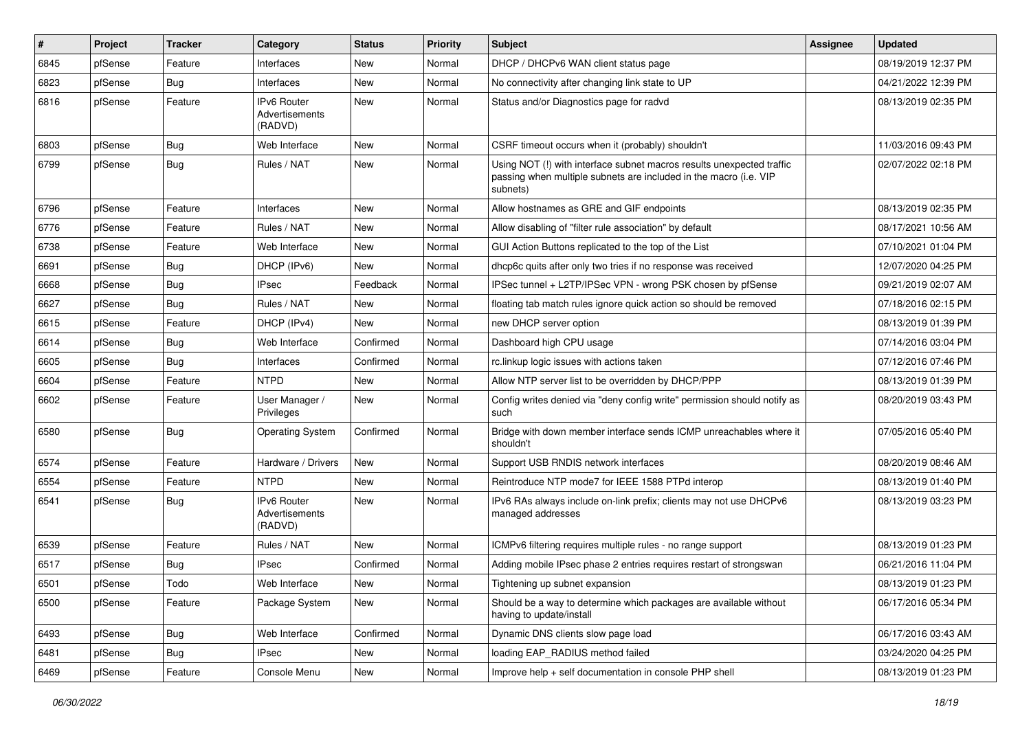| #    | Project | <b>Tracker</b> | Category                                 | <b>Status</b> | <b>Priority</b> | <b>Subject</b>                                                                                                                                         | Assignee | <b>Updated</b>      |
|------|---------|----------------|------------------------------------------|---------------|-----------------|--------------------------------------------------------------------------------------------------------------------------------------------------------|----------|---------------------|
| 6845 | pfSense | Feature        | Interfaces                               | New           | Normal          | DHCP / DHCPv6 WAN client status page                                                                                                                   |          | 08/19/2019 12:37 PM |
| 6823 | pfSense | <b>Bug</b>     | Interfaces                               | <b>New</b>    | Normal          | No connectivity after changing link state to UP                                                                                                        |          | 04/21/2022 12:39 PM |
| 6816 | pfSense | Feature        | IPv6 Router<br>Advertisements<br>(RADVD) | <b>New</b>    | Normal          | Status and/or Diagnostics page for radvd                                                                                                               |          | 08/13/2019 02:35 PM |
| 6803 | pfSense | Bug            | Web Interface                            | <b>New</b>    | Normal          | CSRF timeout occurs when it (probably) shouldn't                                                                                                       |          | 11/03/2016 09:43 PM |
| 6799 | pfSense | <b>Bug</b>     | Rules / NAT                              | New           | Normal          | Using NOT (!) with interface subnet macros results unexpected traffic<br>passing when multiple subnets are included in the macro (i.e. VIP<br>subnets) |          | 02/07/2022 02:18 PM |
| 6796 | pfSense | Feature        | Interfaces                               | New           | Normal          | Allow hostnames as GRE and GIF endpoints                                                                                                               |          | 08/13/2019 02:35 PM |
| 6776 | pfSense | Feature        | Rules / NAT                              | New           | Normal          | Allow disabling of "filter rule association" by default                                                                                                |          | 08/17/2021 10:56 AM |
| 6738 | pfSense | Feature        | Web Interface                            | New           | Normal          | GUI Action Buttons replicated to the top of the List                                                                                                   |          | 07/10/2021 01:04 PM |
| 6691 | pfSense | <b>Bug</b>     | DHCP (IPv6)                              | <b>New</b>    | Normal          | dhcp6c quits after only two tries if no response was received                                                                                          |          | 12/07/2020 04:25 PM |
| 6668 | pfSense | Bug            | <b>IPsec</b>                             | Feedback      | Normal          | IPSec tunnel + L2TP/IPSec VPN - wrong PSK chosen by pfSense                                                                                            |          | 09/21/2019 02:07 AM |
| 6627 | pfSense | <b>Bug</b>     | Rules / NAT                              | New           | Normal          | floating tab match rules ignore quick action so should be removed                                                                                      |          | 07/18/2016 02:15 PM |
| 6615 | pfSense | Feature        | DHCP (IPv4)                              | <b>New</b>    | Normal          | new DHCP server option                                                                                                                                 |          | 08/13/2019 01:39 PM |
| 6614 | pfSense | <b>Bug</b>     | Web Interface                            | Confirmed     | Normal          | Dashboard high CPU usage                                                                                                                               |          | 07/14/2016 03:04 PM |
| 6605 | pfSense | <b>Bug</b>     | Interfaces                               | Confirmed     | Normal          | rc.linkup logic issues with actions taken                                                                                                              |          | 07/12/2016 07:46 PM |
| 6604 | pfSense | Feature        | <b>NTPD</b>                              | New           | Normal          | Allow NTP server list to be overridden by DHCP/PPP                                                                                                     |          | 08/13/2019 01:39 PM |
| 6602 | pfSense | Feature        | User Manager /<br>Privileges             | New           | Normal          | Config writes denied via "deny config write" permission should notify as<br>such                                                                       |          | 08/20/2019 03:43 PM |
| 6580 | pfSense | Bug            | <b>Operating System</b>                  | Confirmed     | Normal          | Bridge with down member interface sends ICMP unreachables where it<br>shouldn't                                                                        |          | 07/05/2016 05:40 PM |
| 6574 | pfSense | Feature        | Hardware / Drivers                       | New           | Normal          | Support USB RNDIS network interfaces                                                                                                                   |          | 08/20/2019 08:46 AM |
| 6554 | pfSense | Feature        | <b>NTPD</b>                              | New           | Normal          | Reintroduce NTP mode7 for IEEE 1588 PTPd interop                                                                                                       |          | 08/13/2019 01:40 PM |
| 6541 | pfSense | <b>Bug</b>     | IPv6 Router<br>Advertisements<br>(RADVD) | <b>New</b>    | Normal          | IPv6 RAs always include on-link prefix; clients may not use DHCPv6<br>managed addresses                                                                |          | 08/13/2019 03:23 PM |
| 6539 | pfSense | Feature        | Rules / NAT                              | <b>New</b>    | Normal          | ICMPv6 filtering requires multiple rules - no range support                                                                                            |          | 08/13/2019 01:23 PM |
| 6517 | pfSense | <b>Bug</b>     | <b>IPsec</b>                             | Confirmed     | Normal          | Adding mobile IPsec phase 2 entries requires restart of strongswan                                                                                     |          | 06/21/2016 11:04 PM |
| 6501 | pfSense | Todo           | Web Interface                            | New           | Normal          | Tightening up subnet expansion                                                                                                                         |          | 08/13/2019 01:23 PM |
| 6500 | pfSense | Feature        | Package System                           | New           | Normal          | Should be a way to determine which packages are available without<br>having to update/install                                                          |          | 06/17/2016 05:34 PM |
| 6493 | pfSense | Bug            | Web Interface                            | Confirmed     | Normal          | Dynamic DNS clients slow page load                                                                                                                     |          | 06/17/2016 03:43 AM |
| 6481 | pfSense | <b>Bug</b>     | <b>IPsec</b>                             | New           | Normal          | loading EAP_RADIUS method failed                                                                                                                       |          | 03/24/2020 04:25 PM |
| 6469 | pfSense | Feature        | Console Menu                             | New           | Normal          | Improve help + self documentation in console PHP shell                                                                                                 |          | 08/13/2019 01:23 PM |